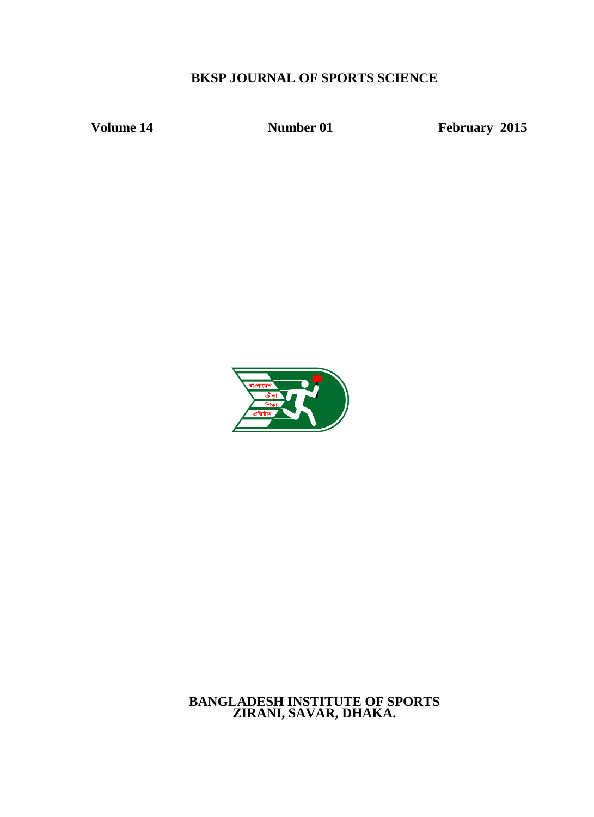# **BKSP JOURNAL OF SPORTS SCIENCE**

**Volume 14 Number 01 February 2015** 



### **BANGLADESH INSTITUTE OF SPORTS ZIRANI, SAVAR, DHAKA.**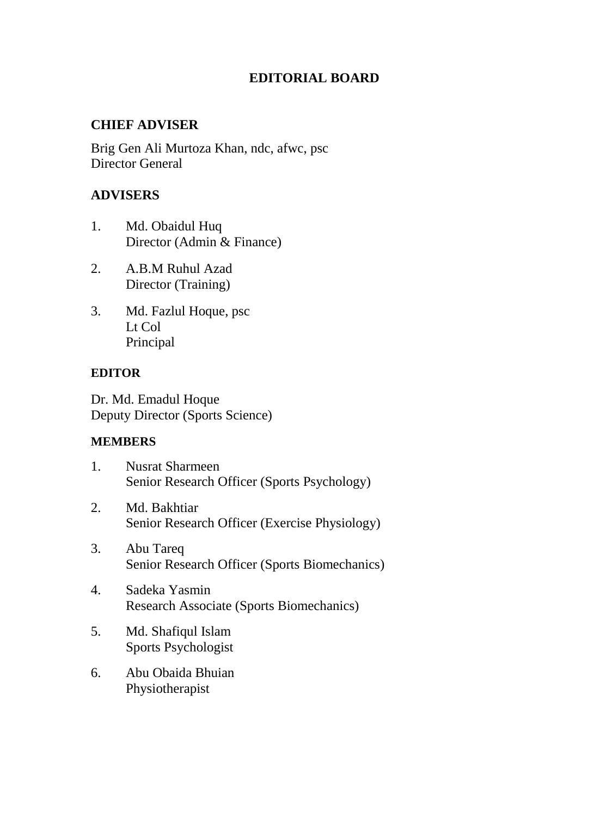# **EDITORIAL BOARD**

### **CHIEF ADVISER**

Brig Gen Ali Murtoza Khan, ndc, afwc, psc Director General

### **ADVISERS**

- 1. Md. Obaidul Huq Director (Admin & Finance)
- 2. A.B.M Ruhul Azad Director (Training)
- 3. Md. Fazlul Hoque, psc Lt Col Principal

### **EDITOR**

Dr. Md. Emadul Hoque Deputy Director (Sports Science)

### **MEMBERS**

- 1. Nusrat Sharmeen Senior Research Officer (Sports Psychology)
- 2. Md. Bakhtiar Senior Research Officer (Exercise Physiology)
- 3. Abu Tareq Senior Research Officer (Sports Biomechanics)
- 4. Sadeka Yasmin Research Associate (Sports Biomechanics)
- 5. Md. Shafiqul Islam Sports Psychologist
- 6. Abu Obaida Bhuian Physiotherapist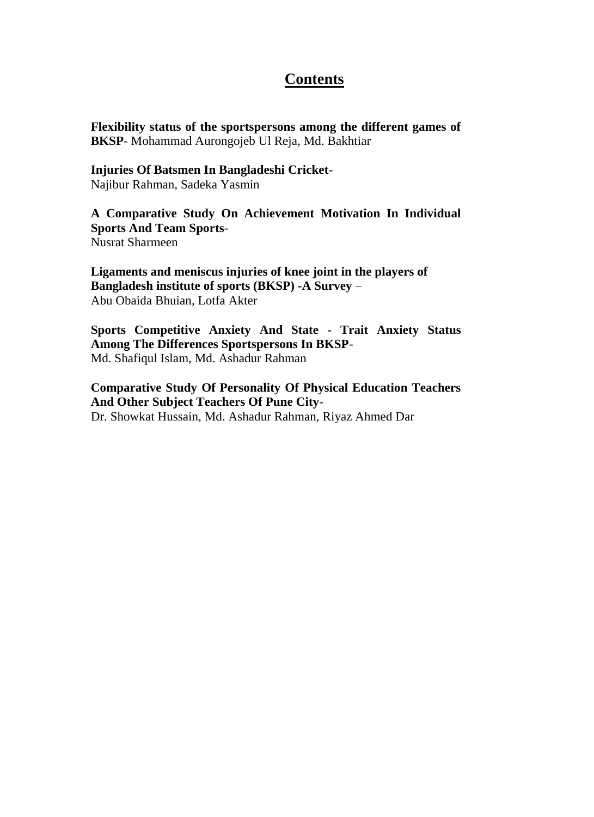# **Contents**

**Flexibility status of the sportspersons among the different games of BKSP**- Mohammad Aurongojeb Ul Reja, Md. Bakhtiar

# **Injuries Of Batsmen In Bangladeshi Cricket**-

Najibur Rahman, Sadeka Yasmin

**A Comparative Study On Achievement Motivation In Individual Sports And Team Sports**-Nusrat Sharmeen

**Ligaments and meniscus injuries of knee joint in the players of Bangladesh institute of sports (BKSP) -A Survey** – Abu Obaida Bhuian, Lotfa Akter

**Sports Competitive Anxiety And State - Trait Anxiety Status Among The Differences Sportspersons In BKSP**-Md. Shafiqul Islam, Md. Ashadur Rahman

**Comparative Study Of Personality Of Physical Education Teachers And Other Subject Teachers Of Pune City**-Dr. Showkat Hussain, Md. Ashadur Rahman, Riyaz Ahmed Dar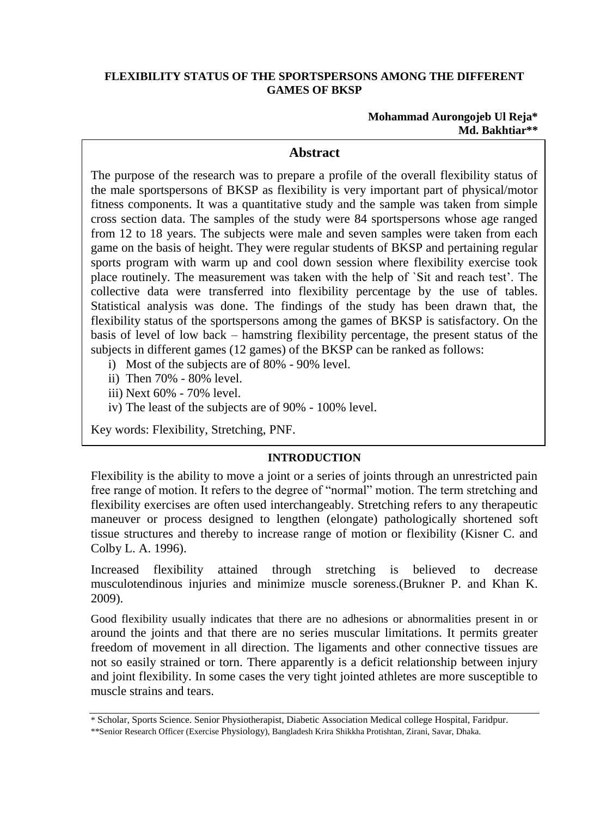### **FLEXIBILITY STATUS OF THE SPORTSPERSONS AMONG THE DIFFERENT GAMES OF BKSP**

#### **Mohammad Aurongojeb Ul Reja\* Md. Bakhtiar\*\***

### **Abstract**

The purpose of the research was to prepare a profile of the overall flexibility status of the male sportspersons of BKSP as flexibility is very important part of physical/motor fitness components. It was a quantitative study and the sample was taken from simple cross section data. The samples of the study were 84 sportspersons whose age ranged from 12 to 18 years. The subjects were male and seven samples were taken from each game on the basis of height. They were regular students of BKSP and pertaining regular sports program with warm up and cool down session where flexibility exercise took place routinely. The measurement was taken with the help of `Sit and reach test'. The collective data were transferred into flexibility percentage by the use of tables. Statistical analysis was done. The findings of the study has been drawn that, the flexibility status of the sportspersons among the games of BKSP is satisfactory. On the basis of level of low back – hamstring flexibility percentage, the present status of the subjects in different games (12 games) of the BKSP can be ranked as follows:

- i) Most of the subjects are of 80% 90% level.
- ii) Then 70% 80% level.
- iii) Next 60% 70% level.
- iv) The least of the subjects are of 90% 100% level.

Key words: Flexibility, Stretching, PNF.

### **INTRODUCTION**

Flexibility is the ability to move a joint or a series of joints through an unrestricted pain free range of motion. It refers to the degree of "normal" motion. The term stretching and flexibility exercises are often used interchangeably. Stretching refers to any therapeutic maneuver or process designed to lengthen (elongate) pathologically shortened soft tissue structures and thereby to increase range of motion or flexibility (Kisner C. and Colby L. A. 1996).

Increased flexibility attained through stretching is believed to decrease musculotendinous injuries and minimize muscle soreness.(Brukner P. and Khan K. 2009).

Good flexibility usually indicates that there are no adhesions or abnormalities present in or around the joints and that there are no series muscular limitations. It permits greater freedom of movement in all direction. The ligaments and other connective tissues are not so easily strained or torn. There apparently is a deficit relationship between injury and joint flexibility. In some cases the very tight jointed athletes are more susceptible to muscle strains and tears.

<sup>\*</sup> Scholar, Sports Science. Senior Physiotherapist, Diabetic Association Medical college Hospital, Faridpur. \*\*Senior Research Officer (Exercise Physiology), Bangladesh Krira Shikkha Protishtan, Zirani, Savar, Dhaka.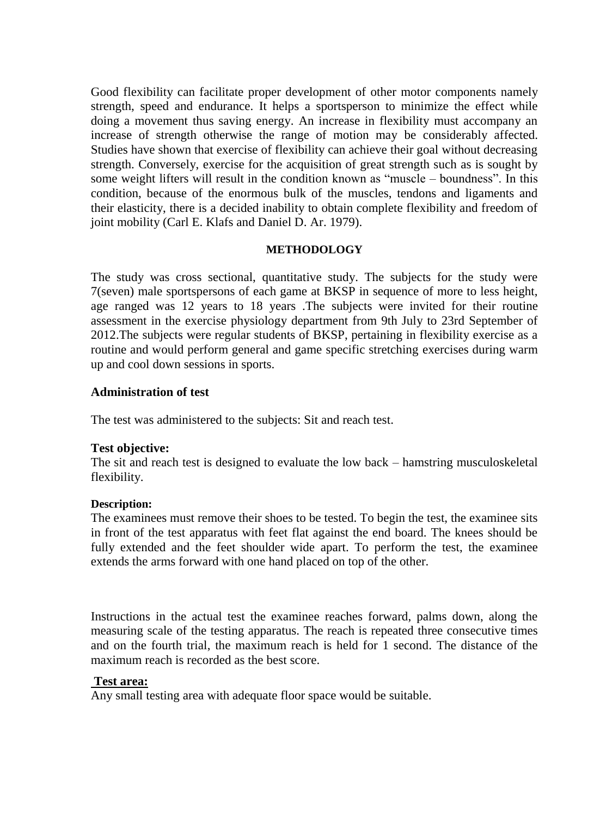Good flexibility can facilitate proper development of other motor components namely strength, speed and endurance. It helps a sportsperson to minimize the effect while doing a movement thus saving energy. An increase in flexibility must accompany an increase of strength otherwise the range of motion may be considerably affected. Studies have shown that exercise of flexibility can achieve their goal without decreasing strength. Conversely, exercise for the acquisition of great strength such as is sought by some weight lifters will result in the condition known as "muscle – boundness". In this condition, because of the enormous bulk of the muscles, tendons and ligaments and their elasticity, there is a decided inability to obtain complete flexibility and freedom of joint mobility (Carl E. Klafs and Daniel D. Ar. 1979).

### **METHODOLOGY**

The study was cross sectional, quantitative study. The subjects for the study were 7(seven) male sportspersons of each game at BKSP in sequence of more to less height, age ranged was 12 years to 18 years .The subjects were invited for their routine assessment in the exercise physiology department from 9th July to 23rd September of 2012.The subjects were regular students of BKSP, pertaining in flexibility exercise as a routine and would perform general and game specific stretching exercises during warm up and cool down sessions in sports.

### **Administration of test**

The test was administered to the subjects: Sit and reach test.

### **Test objective:**

The sit and reach test is designed to evaluate the low back – hamstring musculoskeletal flexibility.

### **Description:**

The examinees must remove their shoes to be tested. To begin the test, the examinee sits in front of the test apparatus with feet flat against the end board. The knees should be fully extended and the feet shoulder wide apart. To perform the test, the examinee extends the arms forward with one hand placed on top of the other.

Instructions in the actual test the examinee reaches forward, palms down, along the measuring scale of the testing apparatus. The reach is repeated three consecutive times and on the fourth trial, the maximum reach is held for 1 second. The distance of the maximum reach is recorded as the best score.

### **Test area:**

Any small testing area with adequate floor space would be suitable.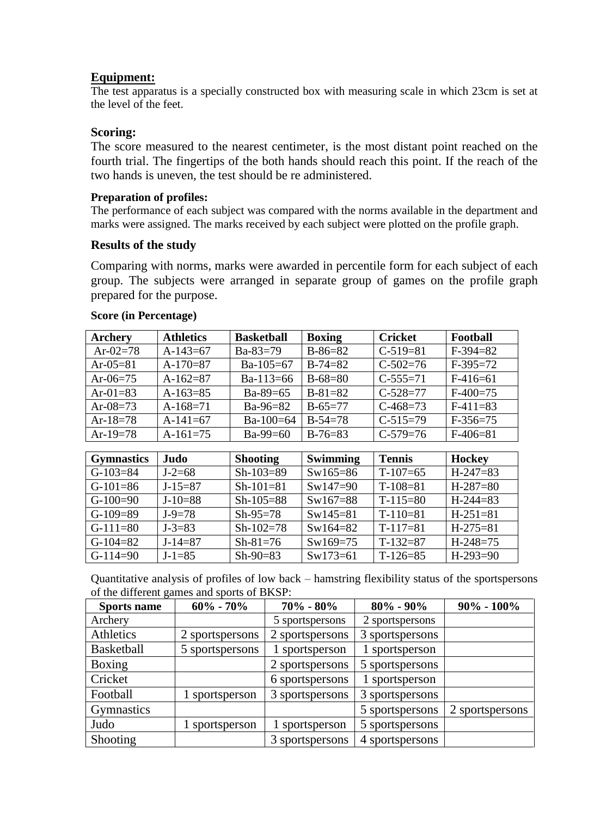### **Equipment:**

The test apparatus is a specially constructed box with measuring scale in which 23cm is set at the level of the feet.

### **Scoring:**

The score measured to the nearest centimeter, is the most distant point reached on the fourth trial. The fingertips of the both hands should reach this point. If the reach of the two hands is uneven, the test should be re administered.

### **Preparation of profiles:**

The performance of each subject was compared with the norms available in the department and marks were assigned. The marks received by each subject were plotted on the profile graph.

### **Results of the study**

Comparing with norms, marks were awarded in percentile form for each subject of each group. The subjects were arranged in separate group of games on the profile graph prepared for the purpose.

| <b>Archery</b> | <b>Athletics</b> | <b>Basketball</b> | <b>Boxing</b> | <b>Cricket</b> | Football   |
|----------------|------------------|-------------------|---------------|----------------|------------|
| Ar-02=78       | $A-143=67$       | $Ba-83=79$        | $B-86=82$     | $C-519=81$     | $F-394=82$ |
| Ar- $05 = 81$  | $A-170=87$       | Ba-105=67         | $B-74=82$     | $C-502=76$     | $F-395=72$ |
| Ar-06=75       | $A-162=87$       | Ba-113=66         | $B - 68 = 80$ | $C-555=71$     | $F-416=61$ |
| Ar-01=83       | $A-163=85$       | Ba-89=65          | $B-81=82$     | $C-528=77$     | $F-400=75$ |
| Ar-08=73       | $A-168=71$       | Ba-96=82          | $B-65=77$     | $C-468=73$     | $F-411=83$ |
| $Ar-18=78$     | $A-141=67$       | Ba-100=64         | $B-54=78$     | $C-515=79$     | $F-356=75$ |
| Ar- $19=78$    | $A-161=75$       | $Ba-99=60$        | $B-76=83$     | $C-579=76$     | $F-406=81$ |

#### **Score (in Percentage)**

| <b>Gymnastics</b> | Judo          | <b>Shooting</b> | <b>Swimming</b> | <b>Tennis</b> | <b>Hockey</b> |
|-------------------|---------------|-----------------|-----------------|---------------|---------------|
| $G-103=84$        | $J - 2 = 68$  | $Sh-103=89$     | $Sw165 = 86$    | $T-107=65$    | $H-247=83$    |
| $G-101=86$        | $J-15=87$     | $Sh-101=81$     | $Sw147=90$      | $T-108=81$    | $H-287=80$    |
| $G-100=90$        | $J-10=88$     | $Sh-105=88$     | $Sw167 = 88$    | $T-115=80$    | $H-244=83$    |
| $G-109=89$        | $J - 9 = 78$  | $Sh-95=78$      | $Sw145 = 81$    | $T-110=81$    | $H-251=81$    |
| $G-111=80$        | $J - 3 = 83$  | $Sh-102=78$     | $Sw164 = 82$    | $T-117=81$    | $H-275=81$    |
| $G-104=82$        | $J - 14 = 87$ | $Sh-81=76$      | $Sw169=75$      | $T-132=87$    | $H-248=75$    |
| $G-114=90$        | $J-1=85$      | $Sh-90=83$      | $Sw173=61$      | $T-126=85$    | $H-293=90$    |

Quantitative analysis of profiles of low back – hamstring flexibility status of the sportspersons of the different games and sports of BKSP:

| <b>Sports name</b> | $60\% - 70\%$   | $70\% - 80\%$   | $80\% - 90\%$   | $90\% - 100\%$  |
|--------------------|-----------------|-----------------|-----------------|-----------------|
| Archery            |                 | 5 sportspersons | 2 sportspersons |                 |
| Athletics          | 2 sportspersons | 2 sportspersons | 3 sportspersons |                 |
| <b>Basketball</b>  | 5 sportspersons | 1 sportsperson  | sportsperson    |                 |
| Boxing             |                 | 2 sportspersons | 5 sportspersons |                 |
| Cricket            |                 | 6 sportspersons | 1 sportsperson  |                 |
| Football           | 1 sportsperson  | 3 sportspersons | 3 sportspersons |                 |
| Gymnastics         |                 |                 | 5 sportspersons | 2 sportspersons |
| Judo               | 1 sportsperson  | 1 sportsperson  | 5 sportspersons |                 |
| Shooting           |                 | 3 sportspersons | 4 sportspersons |                 |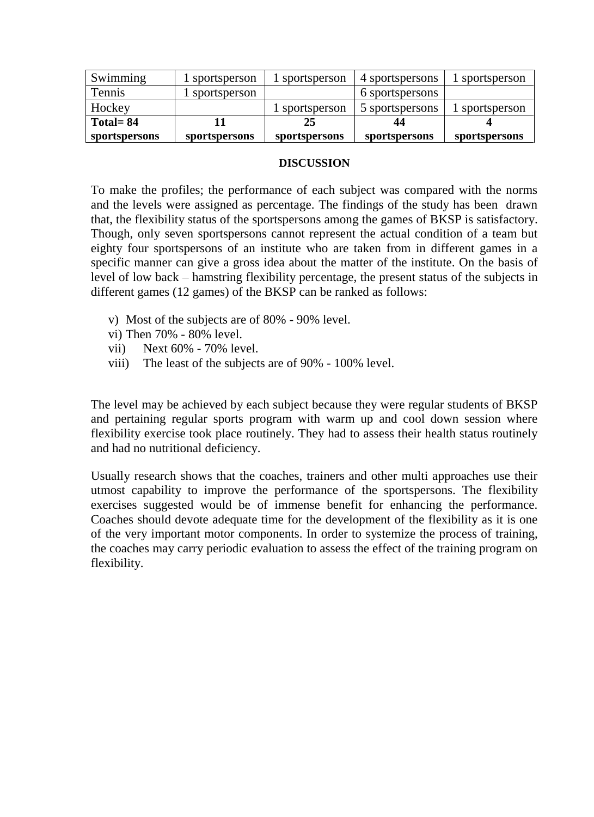| Swimming      | sportsperson  | sportsperson  | 4 sportspersons | l sportsperson |
|---------------|---------------|---------------|-----------------|----------------|
| Tennis        | sportsperson  |               | 6 sportspersons |                |
| Hockey        |               | sportsperson  | 5 sportspersons | sportsperson   |
| Total= $84$   |               | 25            | 44              |                |
| sportspersons | sportspersons | sportspersons | sportspersons   | sportspersons  |

### **DISCUSSION**

To make the profiles; the performance of each subject was compared with the norms and the levels were assigned as percentage. The findings of the study has been drawn that, the flexibility status of the sportspersons among the games of BKSP is satisfactory. Though, only seven sportspersons cannot represent the actual condition of a team but eighty four sportspersons of an institute who are taken from in different games in a specific manner can give a gross idea about the matter of the institute. On the basis of level of low back – hamstring flexibility percentage, the present status of the subjects in different games (12 games) of the BKSP can be ranked as follows:

- v) Most of the subjects are of 80% 90% level.
- vi) Then 70% 80% level.
- vii) Next 60% 70% level.
- viii) The least of the subjects are of 90% 100% level.

The level may be achieved by each subject because they were regular students of BKSP and pertaining regular sports program with warm up and cool down session where flexibility exercise took place routinely. They had to assess their health status routinely and had no nutritional deficiency.

Usually research shows that the coaches, trainers and other multi approaches use their utmost capability to improve the performance of the sportspersons. The flexibility exercises suggested would be of immense benefit for enhancing the performance. Coaches should devote adequate time for the development of the flexibility as it is one of the very important motor components. In order to systemize the process of training, the coaches may carry periodic evaluation to assess the effect of the training program on flexibility.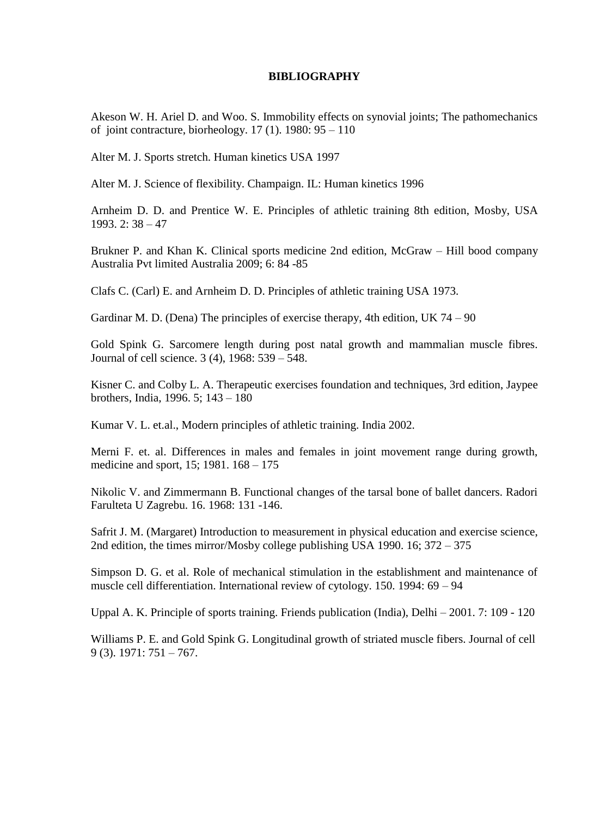#### **BIBLIOGRAPHY**

Akeson W. H. Ariel D. and Woo. S. Immobility effects on synovial joints; The pathomechanics of joint contracture, biorheology. 17 (1).  $1980: 95 - 110$ 

Alter M. J. Sports stretch. Human kinetics USA 1997

Alter M. J. Science of flexibility. Champaign. IL: Human kinetics 1996

Arnheim D. D. and Prentice W. E. Principles of athletic training 8th edition, Mosby, USA 1993. 2: 38 – 47

Brukner P. and Khan K. Clinical sports medicine 2nd edition, McGraw – Hill bood company Australia Pvt limited Australia 2009; 6: 84 -85

Clafs C. (Carl) E. and Arnheim D. D. Principles of athletic training USA 1973.

Gardinar M. D. (Dena) The principles of exercise therapy, 4th edition, UK 74 – 90

Gold Spink G. Sarcomere length during post natal growth and mammalian muscle fibres. Journal of cell science. 3 (4), 1968: 539 – 548.

Kisner C. and Colby L. A. Therapeutic exercises foundation and techniques, 3rd edition, Jaypee brothers, India, 1996. 5; 143 – 180

Kumar V. L. et.al., Modern principles of athletic training. India 2002.

Merni F. et. al. Differences in males and females in joint movement range during growth, medicine and sport, 15; 1981. 168 – 175

Nikolic V. and Zimmermann B. Functional changes of the tarsal bone of ballet dancers. Radori Farulteta U Zagrebu. 16. 1968: 131 -146.

Safrit J. M. (Margaret) Introduction to measurement in physical education and exercise science, 2nd edition, the times mirror/Mosby college publishing USA 1990. 16; 372 – 375

Simpson D. G. et al. Role of mechanical stimulation in the establishment and maintenance of muscle cell differentiation. International review of cytology. 150. 1994: 69 – 94

Uppal A. K. Principle of sports training. Friends publication (India), Delhi – 2001. 7: 109 - 120

Williams P. E. and Gold Spink G. Longitudinal growth of striated muscle fibers. Journal of cell 9 (3). 1971: 751 – 767.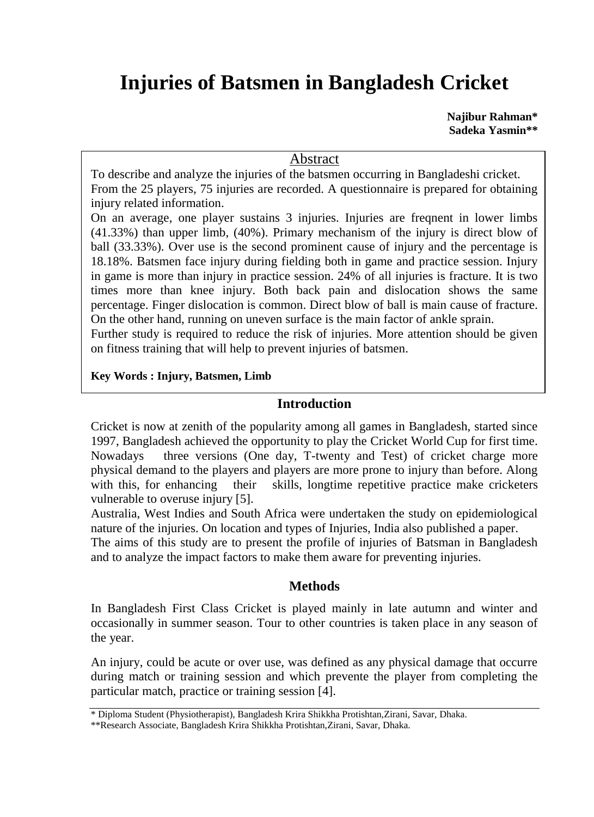# **Injuries of Batsmen in Bangladesh Cricket**

**Najibur Rahman\* Sadeka Yasmin\*\***

### Abstract

To describe and analyze the injuries of the batsmen occurring in Bangladeshi cricket. From the 25 players, 75 injuries are recorded. A questionnaire is prepared for obtaining injury related information.

On an average, one player sustains 3 injuries. Injuries are freqnent in lower limbs (41.33%) than upper limb, (40%). Primary mechanism of the injury is direct blow of ball (33.33%). Over use is the second prominent cause of injury and the percentage is 18.18%. Batsmen face injury during fielding both in game and practice session. Injury in game is more than injury in practice session. 24% of all injuries is fracture. It is two times more than knee injury. Both back pain and dislocation shows the same percentage. Finger dislocation is common. Direct blow of ball is main cause of fracture. On the other hand, running on uneven surface is the main factor of ankle sprain.

Further study is required to reduce the risk of injuries. More attention should be given on fitness training that will help to prevent injuries of batsmen.

**Key Words : Injury, Batsmen, Limb**

### **Introduction**

Cricket is now at zenith of the popularity among all games in Bangladesh, started since 1997, Bangladesh achieved the opportunity to play the Cricket World Cup for first time. Nowadays three versions (One day, T-twenty and Test) of cricket charge more physical demand to the players and players are more prone to injury than before. Along with this, for enhancing their skills, longtime repetitive practice make cricketers vulnerable to overuse injury [5].

Australia, West Indies and South Africa were undertaken the study on epidemiological nature of the injuries. On location and types of Injuries, India also published a paper.

The aims of this study are to present the profile of injuries of Batsman in Bangladesh and to analyze the impact factors to make them aware for preventing injuries.

### **Methods**

In Bangladesh First Class Cricket is played mainly in late autumn and winter and occasionally in summer season. Tour to other countries is taken place in any season of the year.

An injury, could be acute or over use, was defined as any physical damage that occurre during match or training session and which prevente the player from completing the particular match, practice or training session [4].

<sup>\*</sup> Diploma Student (Physiotherapist), Bangladesh Krira Shikkha Protishtan,Zirani, Savar, Dhaka.

<sup>\*\*</sup>Research Associate, Bangladesh Krira Shikkha Protishtan,Zirani, Savar, Dhaka.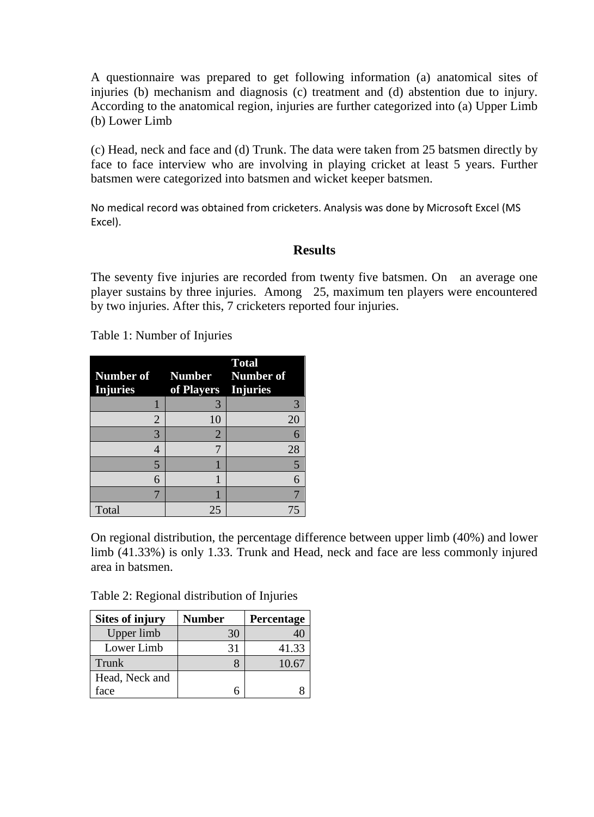A questionnaire was prepared to get following information (a) anatomical sites of injuries (b) mechanism and diagnosis (c) treatment and (d) abstention due to injury. According to the anatomical region, injuries are further categorized into (a) Upper Limb (b) Lower Limb

(c) Head, neck and face and (d) Trunk. The data were taken from 25 batsmen directly by face to face interview who are involving in playing cricket at least 5 years. Further batsmen were categorized into batsmen and wicket keeper batsmen.

No medical record was obtained from cricketers. Analysis was done by Microsoft Excel (MS Excel).

### **Results**

The seventy five injuries are recorded from twenty five batsmen. On an average one player sustains by three injuries. Among 25, maximum ten players were encountered by two injuries. After this, 7 cricketers reported four injuries.

Table 1: Number of Injuries

| Number of Number Number of<br><b>Injuries</b> | of Players Injuries | <b>Total</b> |
|-----------------------------------------------|---------------------|--------------|
|                                               | 3                   |              |
| $\overline{2}$                                | 10                  | 20           |
| 3                                             | $\overline{2}$      |              |
|                                               | 7                   | 28           |
| 5                                             |                     | 5            |
| 6                                             |                     |              |
|                                               |                     |              |
| Total                                         | 25                  | 75           |

On regional distribution, the percentage difference between upper limb (40%) and lower limb (41.33%) is only 1.33. Trunk and Head, neck and face are less commonly injured area in batsmen.

Table 2: Regional distribution of Injuries

| Sites of injury | <b>Number</b> | Percentage |
|-----------------|---------------|------------|
| Upper limb      | 30            |            |
| Lower Limb      | 31            | 41.33      |
| Trunk           |               | 10.67      |
| Head, Neck and  |               |            |
| face            |               |            |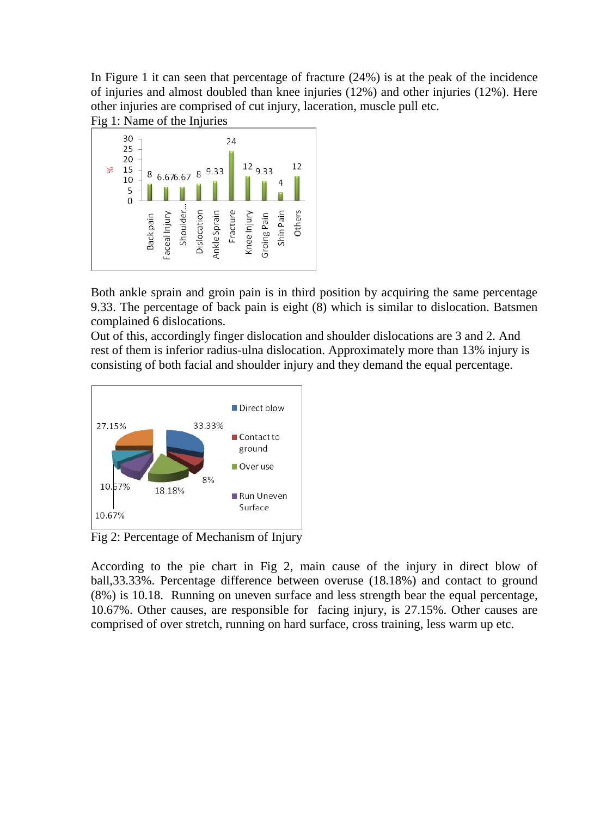In Figure 1 it can seen that percentage of fracture (24%) is at the peak of the incidence of injuries and almost doubled than knee injuries (12%) and other injuries (12%). Here other injuries are comprised of cut injury, laceration, muscle pull etc.



Both ankle sprain and groin pain is in third position by acquiring the same percentage 9.33. The percentage of back pain is eight (8) which is similar to dislocation. Batsmen complained 6 dislocations.

Out of this, accordingly finger dislocation and shoulder dislocations are 3 and 2. And rest of them is inferior radius-ulna dislocation. Approximately more than 13% injury is consisting of both facial and shoulder injury and they demand the equal percentage.



Fig 2: Percentage of Mechanism of Injury

According to the pie chart in Fig 2, main cause of the injury in direct blow of ball,33.33%. Percentage difference between overuse (18.18%) and contact to ground (8%) is 10.18. Running on uneven surface and less strength bear the equal percentage, 10.67%. Other causes, are responsible for facing injury, is 27.15%. Other causes are comprised of over stretch, running on hard surface, cross training, less warm up etc.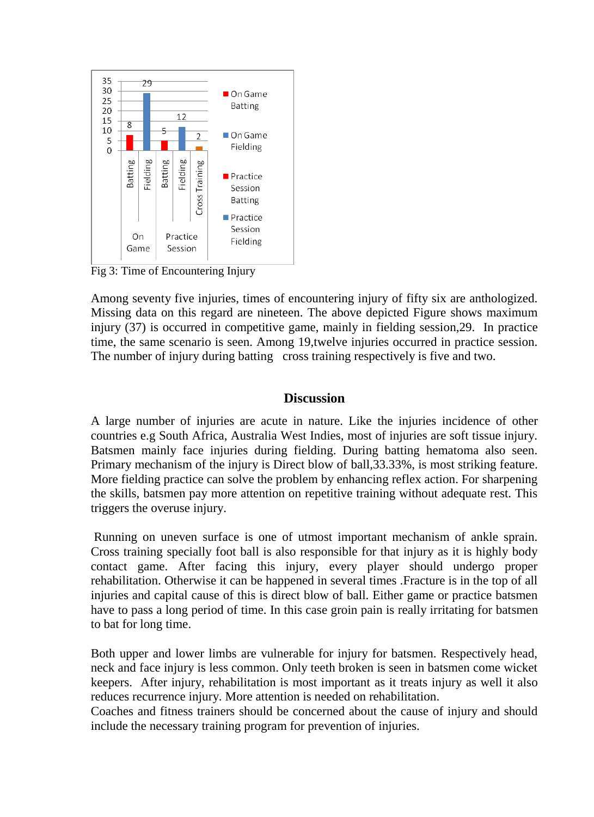

Fig 3: Time of Encountering Injury

Among seventy five injuries, times of encountering injury of fifty six are anthologized. Missing data on this regard are nineteen. The above depicted Figure shows maximum injury (37) is occurred in competitive game, mainly in fielding session,29. In practice time, the same scenario is seen. Among 19,twelve injuries occurred in practice session. The number of injury during batting cross training respectively is five and two.

### **Discussion**

A large number of injuries are acute in nature. Like the injuries incidence of other countries e.g South Africa, Australia West Indies, most of injuries are soft tissue injury. Batsmen mainly face injuries during fielding. During batting hematoma also seen. Primary mechanism of the injury is Direct blow of ball,33.33%, is most striking feature. More fielding practice can solve the problem by enhancing reflex action. For sharpening the skills, batsmen pay more attention on repetitive training without adequate rest. This triggers the overuse injury.

Running on uneven surface is one of utmost important mechanism of ankle sprain. Cross training specially foot ball is also responsible for that injury as it is highly body contact game. After facing this injury, every player should undergo proper rehabilitation. Otherwise it can be happened in several times .Fracture is in the top of all injuries and capital cause of this is direct blow of ball. Either game or practice batsmen have to pass a long period of time. In this case groin pain is really irritating for batsmen to bat for long time.

Both upper and lower limbs are vulnerable for injury for batsmen. Respectively head, neck and face injury is less common. Only teeth broken is seen in batsmen come wicket keepers. After injury, rehabilitation is most important as it treats injury as well it also reduces recurrence injury. More attention is needed on rehabilitation.

Coaches and fitness trainers should be concerned about the cause of injury and should include the necessary training program for prevention of injuries.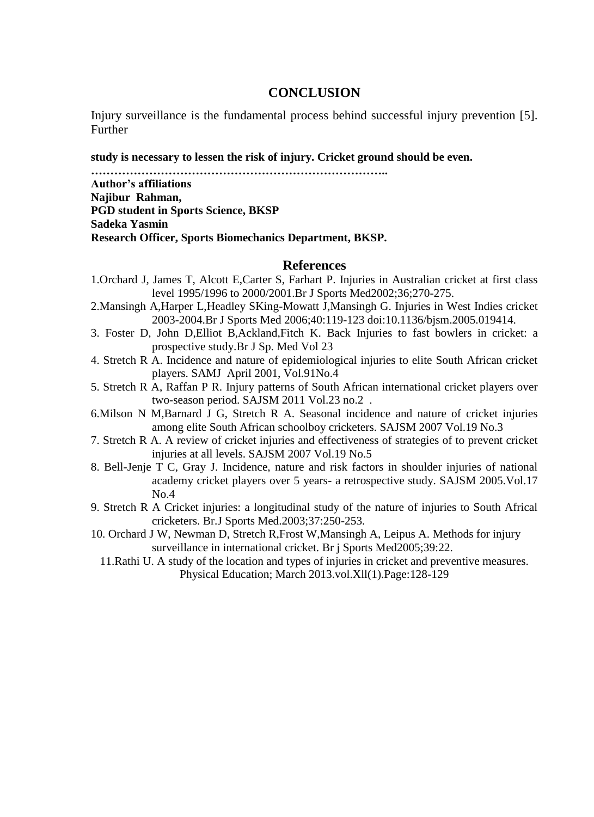### **CONCLUSION**

Injury surveillance is the fundamental process behind successful injury prevention [5]. Further

**study is necessary to lessen the risk of injury. Cricket ground should be even.**

**………………………………………………………………….. Author's affiliations Najibur Rahman, PGD student in Sports Science, BKSP Sadeka Yasmin Research Officer, Sports Biomechanics Department, BKSP.**

### **References**

- 1.Orchard J, James T, Alcott E,Carter S, Farhart P. Injuries in Australian cricket at first class level 1995/1996 to 2000/2001.Br J Sports Med2002;36;270-275.
- 2.Mansingh A,Harper L,Headley SKing-Mowatt J,Mansingh G. Injuries in West Indies cricket 2003-2004.Br J Sports Med 2006;40:119-123 doi:10.1136/bjsm.2005.019414.
- 3. Foster D, John D,Elliot B,Ackland,Fitch K. Back Injuries to fast bowlers in cricket: a prospective study.Br J Sp. Med Vol 23
- 4. Stretch R A. Incidence and nature of epidemiological injuries to elite South African cricket players. SAMJ April 2001, Vol.91No.4
- 5. Stretch R A, Raffan P R. Injury patterns of South African international cricket players over two-season period. SAJSM 2011 Vol.23 no.2 .
- 6.Milson N M,Barnard J G, Stretch R A. Seasonal incidence and nature of cricket injuries among elite South African schoolboy cricketers. SAJSM 2007 Vol.19 No.3
- 7. Stretch R A. A review of cricket injuries and effectiveness of strategies of to prevent cricket injuries at all levels. SAJSM 2007 Vol.19 No.5
- 8. Bell-Jenje T C, Gray J. Incidence, nature and risk factors in shoulder injuries of national academy cricket players over 5 years- a retrospective study. SAJSM 2005.Vol.17 No.4
- 9. Stretch R A Cricket injuries: a longitudinal study of the nature of injuries to South Africal cricketers. Br.J Sports Med.2003;37:250-253.
- 10. Orchard J W, Newman D, Stretch R,Frost W,Mansingh A, Leipus A. Methods for injury surveillance in international cricket. Br j Sports Med2005;39:22.
	- 11.Rathi U. A study of the location and types of injuries in cricket and preventive measures. Physical Education; March 2013.vol.Xll(1).Page:128-129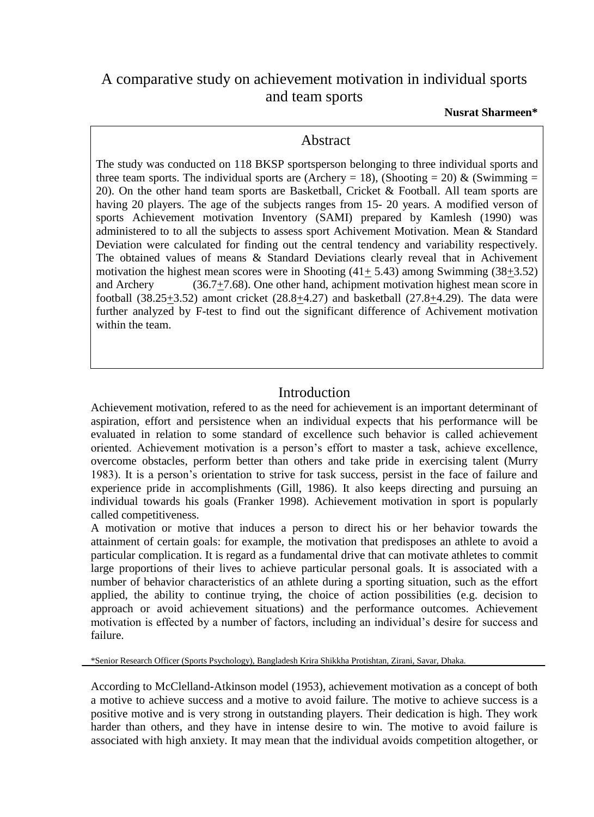# A comparative study on achievement motivation in individual sports and team sports

 **Nusrat Sharmeen\***

### Abstract

The study was conducted on 118 BKSP sportsperson belonging to three individual sports and three team sports. The individual sports are (Archery = 18), (Shooting = 20) & (Swimming = 20). On the other hand team sports are Basketball, Cricket & Football. All team sports are having 20 players. The age of the subjects ranges from 15- 20 years. A modified verson of sports Achievement motivation Inventory (SAMI) prepared by Kamlesh (1990) was administered to to all the subjects to assess sport Achivement Motivation. Mean & Standard Deviation were calculated for finding out the central tendency and variability respectively. The obtained values of means & Standard Deviations clearly reveal that in Achivement motivation the highest mean scores were in Shooting  $(41+5.43)$  among Swimming  $(38+3.52)$ and Archery (36.7+7.68). One other hand, achipment motivation highest mean score in football  $(38.25+3.52)$  amont cricket  $(28.8+4.27)$  and basketball  $(27.8+4.29)$ . The data were further analyzed by F-test to find out the significant difference of Achivement motivation within the team.

# **Introduction**

Achievement motivation, refered to as the need for achievement is an important determinant of aspiration, effort and persistence when an individual expects that his performance will be evaluated in relation to some standard of excellence such behavior is called achievement oriented. Achievement motivation is a person's effort to master a task, achieve excellence, overcome obstacles, perform better than others and take pride in exercising talent (Murry 1983). It is a person's orientation to strive for task success, persist in the face of failure and experience pride in accomplishments (Gill, 1986). It also keeps directing and pursuing an individual towards his goals (Franker 1998). Achievement motivation in sport is popularly called competitiveness.

A motivation or motive that induces a person to direct his or her behavior towards the attainment of certain goals: for example, the motivation that predisposes an athlete to avoid a particular complication. It is regard as a fundamental drive that can motivate athletes to commit large proportions of their lives to achieve particular personal goals. It is associated with a number of behavior characteristics of an athlete during a sporting situation, such as the effort applied, the ability to continue trying, the choice of action possibilities (e.g. decision to approach or avoid achievement situations) and the performance outcomes. Achievement motivation is effected by a number of factors, including an individual's desire for success and failure.

\*Senior Research Officer (Sports Psychology), Bangladesh Krira Shikkha Protishtan, Zirani, Savar, Dhaka.

According to McClelland-Atkinson model (1953), achievement motivation as a concept of both a motive to achieve success and a motive to avoid failure. The motive to achieve success is a positive motive and is very strong in outstanding players. Their dedication is high. They work harder than others, and they have in intense desire to win. The motive to avoid failure is associated with high anxiety. It may mean that the individual avoids competition altogether, or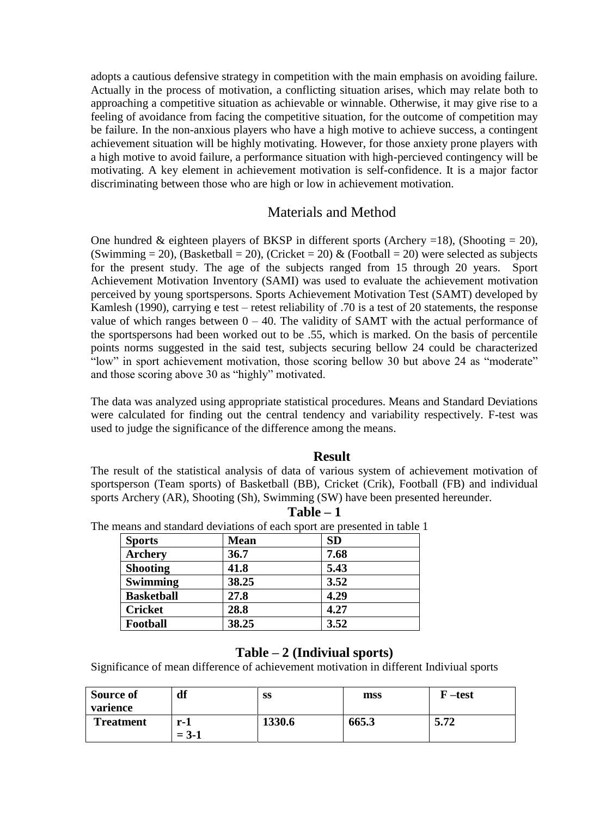adopts a cautious defensive strategy in competition with the main emphasis on avoiding failure. Actually in the process of motivation, a conflicting situation arises, which may relate both to approaching a competitive situation as achievable or winnable. Otherwise, it may give rise to a feeling of avoidance from facing the competitive situation, for the outcome of competition may be failure. In the non-anxious players who have a high motive to achieve success, a contingent achievement situation will be highly motivating. However, for those anxiety prone players with a high motive to avoid failure, a performance situation with high-percieved contingency will be motivating. A key element in achievement motivation is self-confidence. It is a major factor discriminating between those who are high or low in achievement motivation.

# Materials and Method

One hundred & eighteen players of BKSP in different sports (Archery =18), (Shooting = 20), (Swimming = 20), (Basketball = 20), (Cricket = 20) & (Football = 20) were selected as subjects for the present study. The age of the subjects ranged from 15 through 20 years. Sport Achievement Motivation Inventory (SAMI) was used to evaluate the achievement motivation perceived by young sportspersons. Sports Achievement Motivation Test (SAMT) developed by Kamlesh (1990), carrying e test – retest reliability of .70 is a test of 20 statements, the response value of which ranges between  $0 - 40$ . The validity of SAMT with the actual performance of the sportspersons had been worked out to be .55, which is marked. On the basis of percentile points norms suggested in the said test, subjects securing bellow 24 could be characterized "low" in sport achievement motivation, those scoring bellow 30 but above 24 as "moderate" and those scoring above 30 as "highly" motivated.

The data was analyzed using appropriate statistical procedures. Means and Standard Deviations were calculated for finding out the central tendency and variability respectively. F-test was used to judge the significance of the difference among the means.

### **Result**

The result of the statistical analysis of data of various system of achievement motivation of sportsperson (Team sports) of Basketball (BB), Cricket (Crik), Football (FB) and individual sports Archery (AR), Shooting (Sh), Swimming (SW) have been presented hereunder.

| <b>Sports</b>     | <b>Mean</b> | <b>SD</b> |
|-------------------|-------------|-----------|
| <b>Archery</b>    | 36.7        | 7.68      |
| <b>Shooting</b>   | 41.8        | 5.43      |
| <b>Swimming</b>   | 38.25       | 3.52      |
| <b>Basketball</b> | 27.8        | 4.29      |
| <b>Cricket</b>    | 28.8        | 4.27      |
| Football          | 38.25       | 3.52      |

#### **Table – 1**

The means and standard deviations of each sport are presented in table 1

### **Table – 2 (Indiviual sports)**

Significance of mean difference of achievement motivation in different Indiviual sports

| <b>Source of</b><br>varience | df               | SS     | mss   | —test        |
|------------------------------|------------------|--------|-------|--------------|
| <b>Treatment</b>             | $r-1$<br>$= 3-1$ | 1330.6 | 665.3 | E 77<br>J.IL |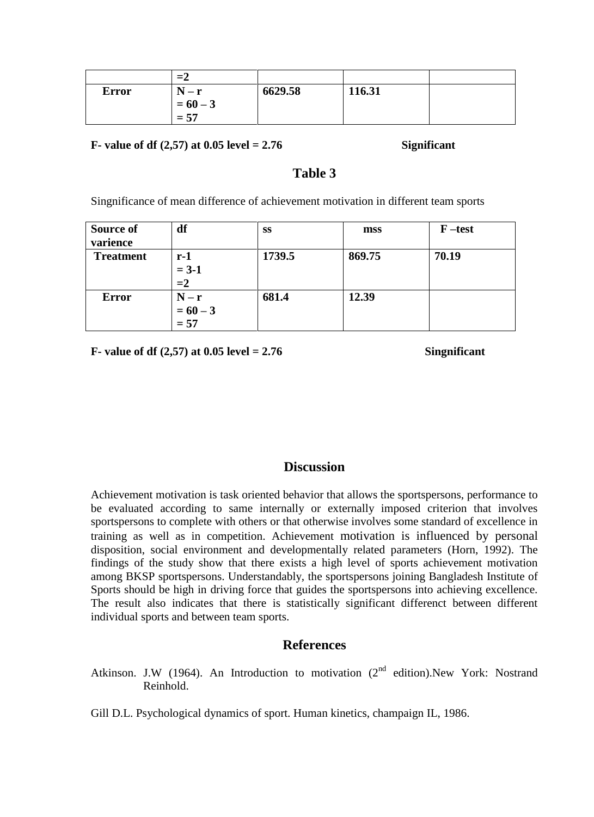|              | $=2$       |         |        |  |
|--------------|------------|---------|--------|--|
| <b>Error</b> | $N-r$      | 6629.58 | 116.31 |  |
|              | $= 60 - 3$ |         |        |  |
|              | $= 57$     |         |        |  |

 $\mathbf{F}\text{-}\n$  **value of df** (2,57) at 0.05 level = 2.76 Significant

### **Table 3**

Singnificance of mean difference of achievement motivation in different team sports

| <b>Source of</b> | df         | SS     | mss    | F-test |
|------------------|------------|--------|--------|--------|
| varience         |            |        |        |        |
| <b>Treatment</b> | $r-1$      | 1739.5 | 869.75 | 70.19  |
|                  | $= 3 - 1$  |        |        |        |
|                  | $=2$       |        |        |        |
| <b>Error</b>     | $N-r$      | 681.4  | 12.39  |        |
|                  | $= 60 - 3$ |        |        |        |
|                  | $= 57$     |        |        |        |

 $\mathbf{F}\text{-}\n$  **value of df** (2,57) at 0.05 level = 2.76 Singnificant

### **Discussion**

Achievement motivation is task oriented behavior that allows the sportspersons, performance to be evaluated according to same internally or externally imposed criterion that involves sportspersons to complete with others or that otherwise involves some standard of excellence in training as well as in competition. Achievement motivation is influenced by personal disposition, social environment and developmentally related parameters (Horn, 1992). The findings of the study show that there exists a high level of sports achievement motivation among BKSP sportspersons. Understandably, the sportspersons joining Bangladesh Institute of Sports should be high in driving force that guides the sportspersons into achieving excellence. The result also indicates that there is statistically significant differenct between different individual sports and between team sports.

### **References**

Atkinson. J.W (1964). An Introduction to motivation  $(2<sup>nd</sup>$  edition).New York: Nostrand Reinhold.

Gill D.L. Psychological dynamics of sport. Human kinetics, champaign IL, 1986.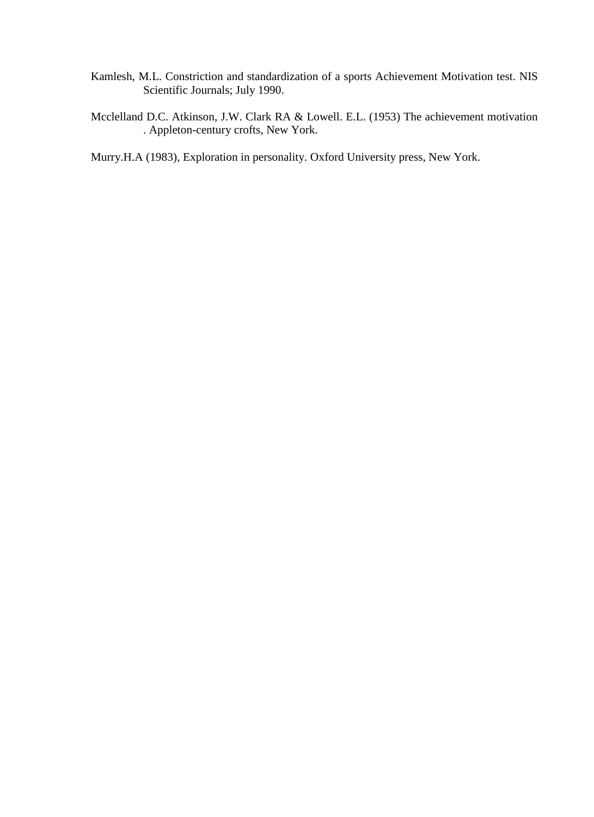- Kamlesh, M.L. Constriction and standardization of a sports Achievement Motivation test. NIS Scientific Journals; July 1990.
- Mcclelland D.C. Atkinson, J.W. Clark RA & Lowell. E.L. (1953) The achievement motivation . Appleton-century crofts, New York.

Murry.H.A (1983), Exploration in personality. Oxford University press, New York.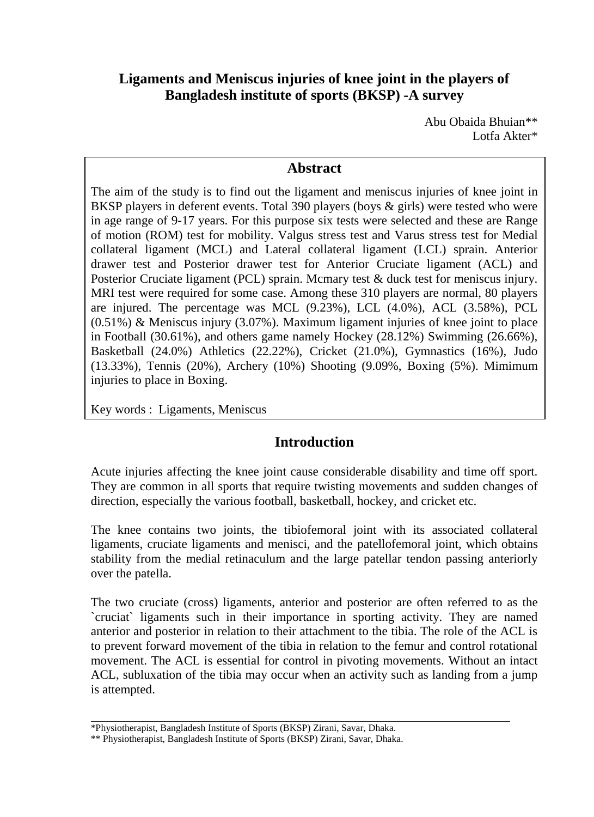# **Ligaments and Meniscus injuries of knee joint in the players of Bangladesh institute of sports (BKSP) -A survey**

Abu Obaida Bhuian\*\* Lotfa Akter\*

### **Abstract**

The aim of the study is to find out the ligament and meniscus injuries of knee joint in BKSP players in deferent events. Total 390 players (boys & girls) were tested who were in age range of 9-17 years. For this purpose six tests were selected and these are Range of motion (ROM) test for mobility. Valgus stress test and Varus stress test for Medial collateral ligament (MCL) and Lateral collateral ligament (LCL) sprain. Anterior drawer test and Posterior drawer test for Anterior Cruciate ligament (ACL) and Posterior Cruciate ligament (PCL) sprain. Mcmary test & duck test for meniscus injury. MRI test were required for some case. Among these 310 players are normal, 80 players are injured. The percentage was MCL (9.23%), LCL (4.0%), ACL (3.58%), PCL (0.51%) & Meniscus injury (3.07%). Maximum ligament injuries of knee joint to place in Football (30.61%), and others game namely Hockey (28.12%) Swimming (26.66%), Basketball (24.0%) Athletics (22.22%), Cricket (21.0%), Gymnastics (16%), Judo (13.33%), Tennis (20%), Archery (10%) Shooting (9.09%, Boxing (5%). Mimimum injuries to place in Boxing.

Key words : Ligaments, Meniscus

# **Introduction**

Acute injuries affecting the knee joint cause considerable disability and time off sport. They are common in all sports that require twisting movements and sudden changes of direction, especially the various football, basketball, hockey, and cricket etc.

The knee contains two joints, the tibiofemoral joint with its associated collateral ligaments, cruciate ligaments and menisci, and the patellofemoral joint, which obtains stability from the medial retinaculum and the large patellar tendon passing anteriorly over the patella.

The two cruciate (cross) ligaments, anterior and posterior are often referred to as the `cruciat` ligaments such in their importance in sporting activity. They are named anterior and posterior in relation to their attachment to the tibia. The role of the ACL is to prevent forward movement of the tibia in relation to the femur and control rotational movement. The ACL is essential for control in pivoting movements. Without an intact ACL, subluxation of the tibia may occur when an activity such as landing from a jump is attempted.

<sup>\*</sup>Physiotherapist, Bangladesh Institute of Sports (BKSP) Zirani, Savar, Dhaka.

<sup>\*\*</sup> Physiotherapist, Bangladesh Institute of Sports (BKSP) Zirani, Savar, Dhaka.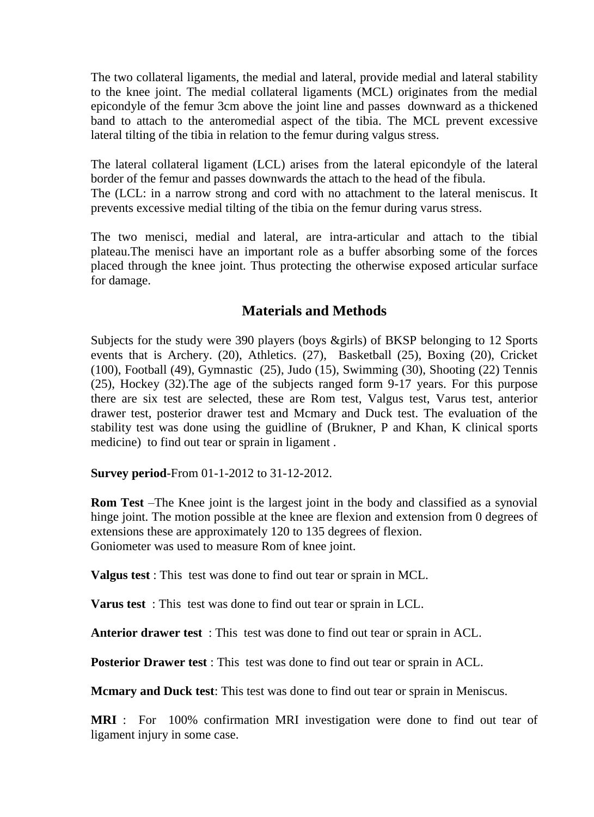The two collateral ligaments, the medial and lateral, provide medial and lateral stability to the knee joint. The medial collateral ligaments (MCL) originates from the medial epicondyle of the femur 3cm above the joint line and passes downward as a thickened band to attach to the anteromedial aspect of the tibia. The MCL prevent excessive lateral tilting of the tibia in relation to the femur during valgus stress.

The lateral collateral ligament (LCL) arises from the lateral epicondyle of the lateral border of the femur and passes downwards the attach to the head of the fibula. The (LCL: in a narrow strong and cord with no attachment to the lateral meniscus. It prevents excessive medial tilting of the tibia on the femur during varus stress.

The two menisci, medial and lateral, are intra-articular and attach to the tibial plateau.The menisci have an important role as a buffer absorbing some of the forces placed through the knee joint. Thus protecting the otherwise exposed articular surface for damage.

# **Materials and Methods**

Subjects for the study were 390 players (boys &girls) of BKSP belonging to 12 Sports events that is Archery. (20), Athletics. (27), Basketball (25), Boxing (20), Cricket (100), Football (49), Gymnastic (25), Judo (15), Swimming (30), Shooting (22) Tennis (25), Hockey (32).The age of the subjects ranged form 9-17 years. For this purpose there are six test are selected, these are Rom test, Valgus test, Varus test, anterior drawer test, posterior drawer test and Mcmary and Duck test. The evaluation of the stability test was done using the guidline of (Brukner, P and Khan, K clinical sports medicine) to find out tear or sprain in ligament .

**Survey period**-From 01-1-2012 to 31-12-2012.

**Rom Test** –The Knee joint is the largest joint in the body and classified as a synovial hinge joint. The motion possible at the knee are flexion and extension from 0 degrees of extensions these are approximately 120 to 135 degrees of flexion. Goniometer was used to measure Rom of knee joint.

**Valgus test** : This test was done to find out tear or sprain in MCL.

**Varus test** : This test was done to find out tear or sprain in LCL.

**Anterior drawer test** : This test was done to find out tear or sprain in ACL.

**Posterior Drawer test** : This test was done to find out tear or sprain in ACL.

**Mcmary and Duck test**: This test was done to find out tear or sprain in Meniscus.

**MRI** : For 100% confirmation MRI investigation were done to find out tear of ligament injury in some case.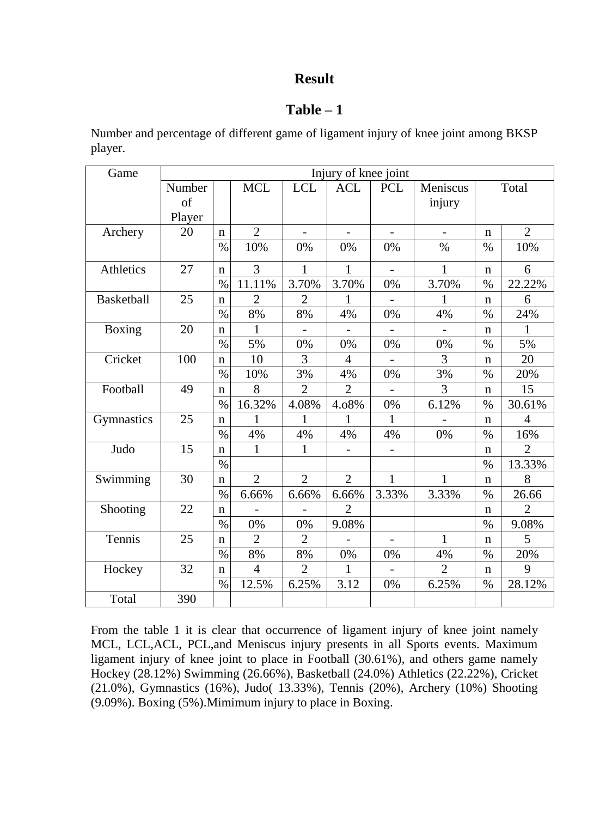# **Result**

# **Table – 1**

Number and percentage of different game of ligament injury of knee joint among BKSP player.

| Game              | Injury of knee joint |             |                |                |                          |                              |                |             |                |
|-------------------|----------------------|-------------|----------------|----------------|--------------------------|------------------------------|----------------|-------------|----------------|
|                   | Number               |             | <b>MCL</b>     | <b>LCL</b>     | <b>ACL</b>               | <b>PCL</b>                   | Meniscus       |             | Total          |
|                   | of                   |             |                |                |                          |                              | injury         |             |                |
|                   | Player               |             |                |                |                          |                              |                |             |                |
| Archery           | 20                   | n           | $\overline{2}$ | $\sim$         | $\sim$                   | $\blacksquare$               | $\blacksquare$ | $\mathbf n$ | $\overline{2}$ |
|                   |                      | $\%$        | 10%            | 0%             | 0%                       | 0%                           | $\%$           | $\%$        | 10%            |
| Athletics         | 27                   | n           | $\overline{3}$ | $\mathbf{1}$   | $\mathbf{1}$             |                              | $\mathbf{1}$   | $\mathbf n$ | 6              |
|                   |                      | $\%$        | 11.11%         | 3.70%          | 3.70%                    | 0%                           | 3.70%          | $\%$        | 22.22%         |
| <b>Basketball</b> | 25                   | $\mathbf n$ | $\overline{2}$ | $\overline{2}$ |                          |                              | 1              | $\mathbf n$ | 6              |
|                   |                      | $\%$        | 8%             | 8%             | 4%                       | 0%                           | 4%             | $\%$        | 24%            |
| <b>Boxing</b>     | 20                   | $\mathbf n$ | $\mathbf{1}$   |                |                          |                              |                | $\mathbf n$ | 1              |
|                   |                      | $\%$        | 5%             | 0%             | 0%                       | 0%                           | 0%             | $\%$        | 5%             |
| Cricket           | 100                  | $\mathbf n$ | 10             | 3              | $\overline{4}$           |                              | 3              | $\mathbf n$ | 20             |
|                   |                      | $\%$        | 10%            | 3%             | 4%                       | 0%                           | 3%             | $\%$        | 20%            |
| Football          | 49                   | $\mathbf n$ | 8              | $\overline{2}$ | $\overline{2}$           |                              | 3              | $\mathbf n$ | 15             |
|                   |                      | $\%$        | 16.32%         | 4.08%          | 4.08%                    | 0%                           | 6.12%          | $\%$        | 30.61%         |
| Gymnastics        | 25                   | n           | 1              | 1              | 1                        | 1                            |                | n           | $\overline{4}$ |
|                   |                      | $\%$        | 4%             | 4%             | 4%                       | 4%                           | 0%             | $\%$        | 16%            |
| Judo              | 15                   | $\mathbf n$ | 1              | 1              | $\overline{\phantom{a}}$ | $\qquad \qquad \blacksquare$ |                | $\mathbf n$ | $\overline{2}$ |
|                   |                      | $\%$        |                |                |                          |                              |                | $\%$        | 13.33%         |
| Swimming          | 30                   | n           | $\overline{2}$ | $\overline{2}$ | $\overline{2}$           | $\mathbf{1}$                 | 1              | $\mathbf n$ | 8              |
|                   |                      | $\%$        | 6.66%          | 6.66%          | 6.66%                    | 3.33%                        | 3.33%          | $\%$        | 26.66          |
| Shooting          | 22                   | $\mathbf n$ |                | $\blacksquare$ | $\overline{2}$           |                              |                | $\mathbf n$ | $\overline{2}$ |
|                   |                      | $\%$        | 0%             | 0%             | 9.08%                    |                              |                | $\%$        | 9.08%          |
| Tennis            | 25                   | $\mathbf n$ | $\overline{2}$ | $\overline{2}$ |                          |                              | 1              | $\mathbf n$ | 5              |
|                   |                      | $\%$        | 8%             | 8%             | 0%                       | 0%                           | 4%             | $\%$        | 20%            |
| Hockey            | 32                   | $\mathbf n$ | $\overline{4}$ | $\overline{2}$ | 1                        |                              | $\overline{2}$ | $\mathbf n$ | 9              |
|                   |                      | $\%$        | 12.5%          | 6.25%          | 3.12                     | 0%                           | 6.25%          | $\%$        | 28.12%         |
| Total             | 390                  |             |                |                |                          |                              |                |             |                |

From the table 1 it is clear that occurrence of ligament injury of knee joint namely MCL, LCL,ACL, PCL,and Meniscus injury presents in all Sports events. Maximum ligament injury of knee joint to place in Football (30.61%), and others game namely Hockey (28.12%) Swimming (26.66%), Basketball (24.0%) Athletics (22.22%), Cricket (21.0%), Gymnastics (16%), Judo( 13.33%), Tennis (20%), Archery (10%) Shooting (9.09%). Boxing (5%).Mimimum injury to place in Boxing.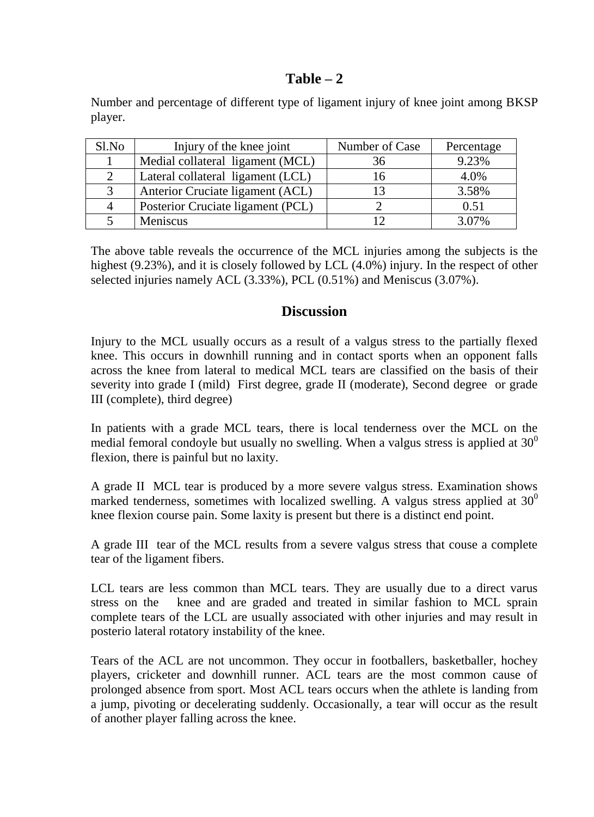# **Table – 2**

Number and percentage of different type of ligament injury of knee joint among BKSP player.

| Sl.No | Injury of the knee joint          | Number of Case | Percentage |
|-------|-----------------------------------|----------------|------------|
|       | Medial collateral ligament (MCL)  | 36             | 9.23%      |
|       | Lateral collateral ligament (LCL) | 16             | 4.0%       |
|       | Anterior Cruciate ligament (ACL)  |                | 3.58%      |
|       | Posterior Cruciate ligament (PCL) |                | 0.51       |
|       | Meniscus                          |                | 3.07%      |

The above table reveals the occurrence of the MCL injuries among the subjects is the highest (9.23%), and it is closely followed by LCL (4.0%) injury. In the respect of other selected injuries namely ACL (3.33%), PCL (0.51%) and Meniscus (3.07%).

# **Discussion**

Injury to the MCL usually occurs as a result of a valgus stress to the partially flexed knee. This occurs in downhill running and in contact sports when an opponent falls across the knee from lateral to medical MCL tears are classified on the basis of their severity into grade I (mild) First degree, grade II (moderate), Second degree or grade III (complete), third degree)

In patients with a grade MCL tears, there is local tenderness over the MCL on the medial femoral condovle but usually no swelling. When a valgus stress is applied at  $30^0$ flexion, there is painful but no laxity.

A grade II MCL tear is produced by a more severe valgus stress. Examination shows marked tenderness, sometimes with localized swelling. A valgus stress applied at  $30^0$ knee flexion course pain. Some laxity is present but there is a distinct end point.

A grade III tear of the MCL results from a severe valgus stress that couse a complete tear of the ligament fibers.

LCL tears are less common than MCL tears. They are usually due to a direct varus stress on the knee and are graded and treated in similar fashion to MCL sprain complete tears of the LCL are usually associated with other injuries and may result in posterio lateral rotatory instability of the knee.

Tears of the ACL are not uncommon. They occur in footballers, basketballer, hochey players, cricketer and downhill runner. ACL tears are the most common cause of prolonged absence from sport. Most ACL tears occurs when the athlete is landing from a jump, pivoting or decelerating suddenly. Occasionally, a tear will occur as the result of another player falling across the knee.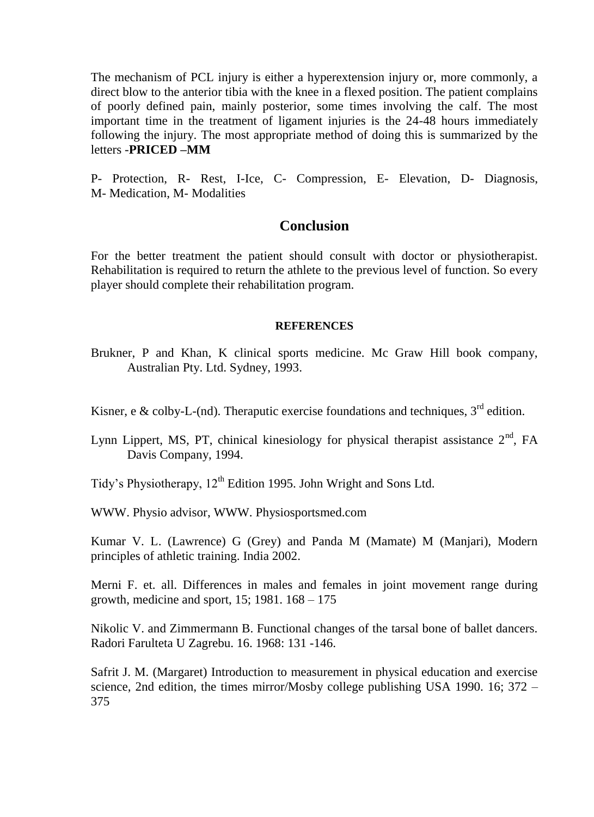The mechanism of PCL injury is either a hyperextension injury or, more commonly, a direct blow to the anterior tibia with the knee in a flexed position. The patient complains of poorly defined pain, mainly posterior, some times involving the calf. The most important time in the treatment of ligament injuries is the 24-48 hours immediately following the injury. The most appropriate method of doing this is summarized by the letters -**PRICED –MM**

P- Protection, R- Rest, I-Ice, C- Compression, E- Elevation, D- Diagnosis, M- Medication, M- Modalities

### **Conclusion**

For the better treatment the patient should consult with doctor or physiotherapist. Rehabilitation is required to return the athlete to the previous level of function. So every player should complete their rehabilitation program.

### **REFERENCES**

Brukner, P and Khan, K clinical sports medicine. Mc Graw Hill book company, Australian Pty. Ltd. Sydney, 1993.

Kisner, e & colby-L-(nd). Theraputic exercise foundations and techniques,  $3<sup>rd</sup>$  edition.

Lynn Lippert, MS, PT, chinical kinesiology for physical therapist assistance  $2<sup>nd</sup>$ , FA Davis Company, 1994.

Tidy's Physiotherapy, 12<sup>th</sup> Edition 1995. John Wright and Sons Ltd.

WWW. Physio advisor, WWW. Physiosportsmed.com

Kumar V. L. (Lawrence) G (Grey) and Panda M (Mamate) M (Manjari), Modern principles of athletic training. India 2002.

Merni F. et. all. Differences in males and females in joint movement range during growth, medicine and sport, 15; 1981. 168 – 175

Nikolic V. and Zimmermann B. Functional changes of the tarsal bone of ballet dancers. Radori Farulteta U Zagrebu. 16. 1968: 131 -146.

Safrit J. M. (Margaret) Introduction to measurement in physical education and exercise science, 2nd edition, the times mirror/Mosby college publishing USA 1990. 16; 372 – 375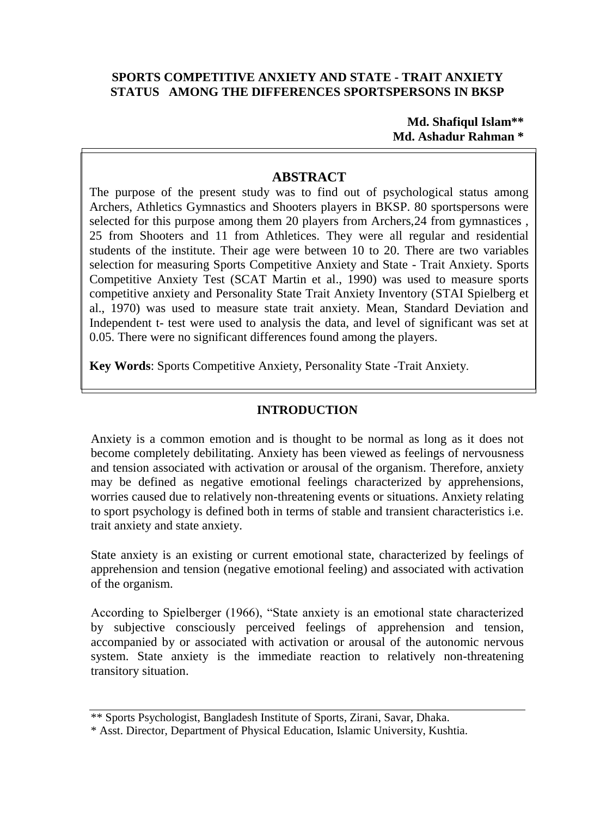### **SPORTS COMPETITIVE ANXIETY AND STATE - TRAIT ANXIETY STATUS AMONG THE DIFFERENCES SPORTSPERSONS IN BKSP**

**Md. Shafiqul Islam\*\* Md. Ashadur Rahman \***

### **ABSTRACT**

The purpose of the present study was to find out of psychological status among Archers, Athletics Gymnastics and Shooters players in BKSP. 80 sportspersons were selected for this purpose among them 20 players from Archers,24 from gymnastices , 25 from Shooters and 11 from Athletices. They were all regular and residential students of the institute. Their age were between 10 to 20. There are two variables selection for measuring Sports Competitive Anxiety and State - Trait Anxiety. Sports Competitive Anxiety Test (SCAT Martin et al., 1990) was used to measure sports competitive anxiety and Personality State Trait Anxiety Inventory (STAI Spielberg et al., 1970) was used to measure state trait anxiety. Mean, Standard Deviation and Independent t- test were used to analysis the data, and level of significant was set at 0.05. There were no significant differences found among the players.

**Key Words**: Sports Competitive Anxiety, Personality State -Trait Anxiety.

### **INTRODUCTION**

Anxiety is a common emotion and is thought to be normal as long as it does not become completely debilitating. Anxiety has been viewed as feelings of nervousness and tension associated with activation or arousal of the organism. Therefore, anxiety may be defined as negative emotional feelings characterized by apprehensions, worries caused due to relatively non-threatening events or situations. Anxiety relating to sport psychology is defined both in terms of stable and transient characteristics i.e. trait anxiety and state anxiety.

State anxiety is an existing or current emotional state, characterized by feelings of apprehension and tension (negative emotional feeling) and associated with activation of the organism.

According to Spielberger (1966), "State anxiety is an emotional state characterized by subjective consciously perceived feelings of apprehension and tension, accompanied by or associated with activation or arousal of the autonomic nervous system. State anxiety is the immediate reaction to relatively non-threatening transitory situation.

<sup>\*\*</sup> Sports Psychologist, Bangladesh Institute of Sports, Zirani, Savar, Dhaka.

<sup>\*</sup> Asst. Director, Department of Physical Education, Islamic University, Kushtia.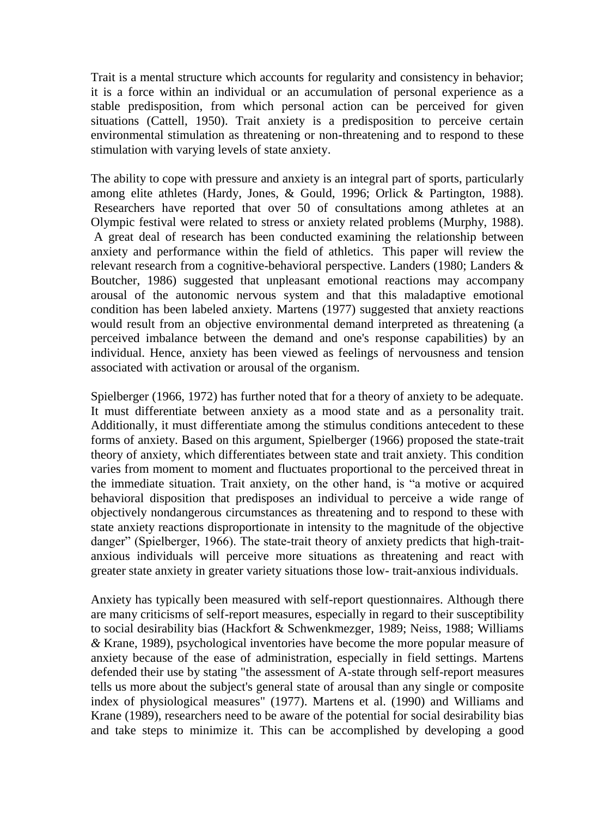Trait is a mental structure which accounts for regularity and consistency in behavior; it is a force within an individual or an accumulation of personal experience as a stable predisposition, from which personal action can be perceived for given situations (Cattell, 1950). Trait anxiety is a predisposition to perceive certain environmental stimulation as threatening or non-threatening and to respond to these stimulation with varying levels of state anxiety.

The ability to cope with pressure and anxiety is an integral part of sports, particularly among elite athletes (Hardy, Jones, & Gould, 1996; Orlick & Partington, 1988). Researchers have reported that over 50 of consultations among athletes at an Olympic festival were related to stress or anxiety related problems (Murphy, 1988). A great deal of research has been conducted examining the relationship between anxiety and performance within the field of athletics. This paper will review the relevant research from a cognitive-behavioral perspective. Landers (1980; Landers & Boutcher, 1986) suggested that unpleasant emotional reactions may accompany arousal of the autonomic nervous system and that this maladaptive emotional condition has been labeled anxiety*.* Martens (1977) suggested that anxiety reactions would result from an objective environmental demand interpreted as threatening (a perceived imbalance between the demand and one's response capabilities) by an individual. Hence, anxiety has been viewed as feelings of nervousness and tension associated with activation or arousal of the organism.

Spielberger (1966, 1972) has further noted that for a theory of anxiety to be adequate. It must differentiate between anxiety as a mood state and as a personality trait. Additionally, it must differentiate among the stimulus conditions antecedent to these forms of anxiety. Based on this argument, Spielberger (1966) proposed the state-trait theory of anxiety, which differentiates between state and trait anxiety. This condition varies from moment to moment and fluctuates proportional to the perceived threat in the immediate situation. Trait anxiety*,* on the other hand, is "a motive or acquired behavioral disposition that predisposes an individual to perceive a wide range of objectively nondangerous circumstances as threatening and to respond to these with state anxiety reactions disproportionate in intensity to the magnitude of the objective danger" (Spielberger, 1966). The state-trait theory of anxiety predicts that high-traitanxious individuals will perceive more situations as threatening and react with greater state anxiety in greater variety situations those low- trait-anxious individuals.

Anxiety has typically been measured with self-report questionnaires. Although there are many criticisms of self-report measures, especially in regard to their susceptibility to social desirability bias (Hackfort & Schwenkmezger, 1989; Neiss, 1988; Williams *&* Krane, 1989), psychological inventories have become the more popular measure of anxiety because of the ease of administration, especially in field settings. Martens defended their use by stating "the assessment of A-state through self-report measures tells us more about the subject's general state of arousal than any single or composite index of physiological measures" (1977). Martens et al. (1990) and Williams and Krane (1989), researchers need to be aware of the potential for social desirability bias and take steps to minimize it. This can be accomplished by developing a good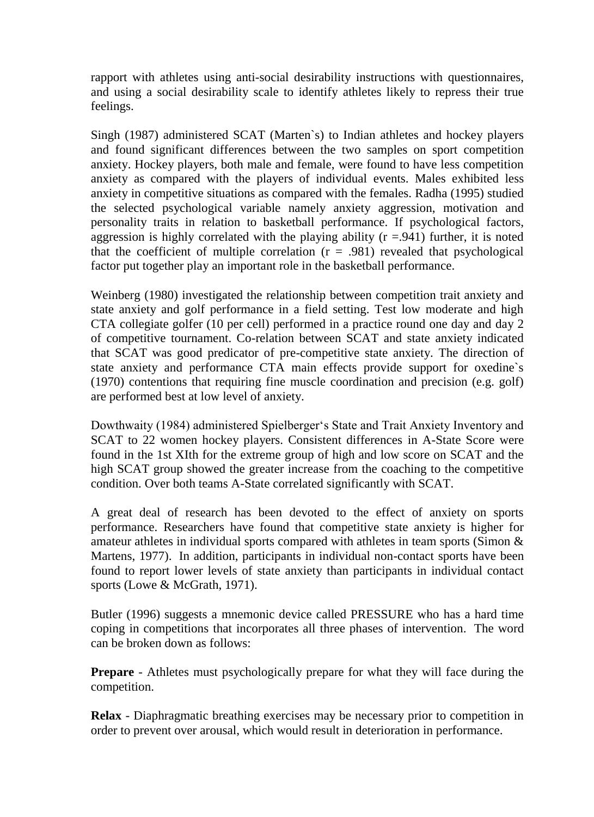rapport with athletes using anti-social desirability instructions with questionnaires, and using a social desirability scale to identify athletes likely to repress their true feelings.

Singh (1987) administered SCAT (Marten`s) to Indian athletes and hockey players and found significant differences between the two samples on sport competition anxiety. Hockey players, both male and female, were found to have less competition anxiety as compared with the players of individual events. Males exhibited less anxiety in competitive situations as compared with the females. Radha (1995) studied the selected psychological variable namely anxiety aggression, motivation and personality traits in relation to basketball performance. If psychological factors, aggression is highly correlated with the playing ability  $(r = .941)$  further, it is noted that the coefficient of multiple correlation  $(r = .981)$  revealed that psychological factor put together play an important role in the basketball performance.

Weinberg (1980) investigated the relationship between competition trait anxiety and state anxiety and golf performance in a field setting. Test low moderate and high CTA collegiate golfer (10 per cell) performed in a practice round one day and day 2 of competitive tournament. Co-relation between SCAT and state anxiety indicated that SCAT was good predicator of pre-competitive state anxiety. The direction of state anxiety and performance CTA main effects provide support for oxedine`s (1970) contentions that requiring fine muscle coordination and precision (e.g. golf) are performed best at low level of anxiety.

Dowthwaity (1984) administered Spielberger's State and Trait Anxiety Inventory and SCAT to 22 women hockey players. Consistent differences in A-State Score were found in the 1st XIth for the extreme group of high and low score on SCAT and the high SCAT group showed the greater increase from the coaching to the competitive condition. Over both teams A-State correlated significantly with SCAT.

A great deal of research has been devoted to the effect of anxiety on sports performance. Researchers have found that competitive state anxiety is higher for amateur athletes in individual sports compared with athletes in team sports (Simon & Martens, 1977). In addition, participants in individual non-contact sports have been found to report lower levels of state anxiety than participants in individual contact sports (Lowe & McGrath, 1971).

Butler (1996) suggests a mnemonic device called PRESSURE who has a hard time coping in competitions that incorporates all three phases of intervention. The word can be broken down as follows:

**Prepare** - Athletes must psychologically prepare for what they will face during the competition.

**Relax** - Diaphragmatic breathing exercises may be necessary prior to competition in order to prevent over arousal, which would result in deterioration in performance.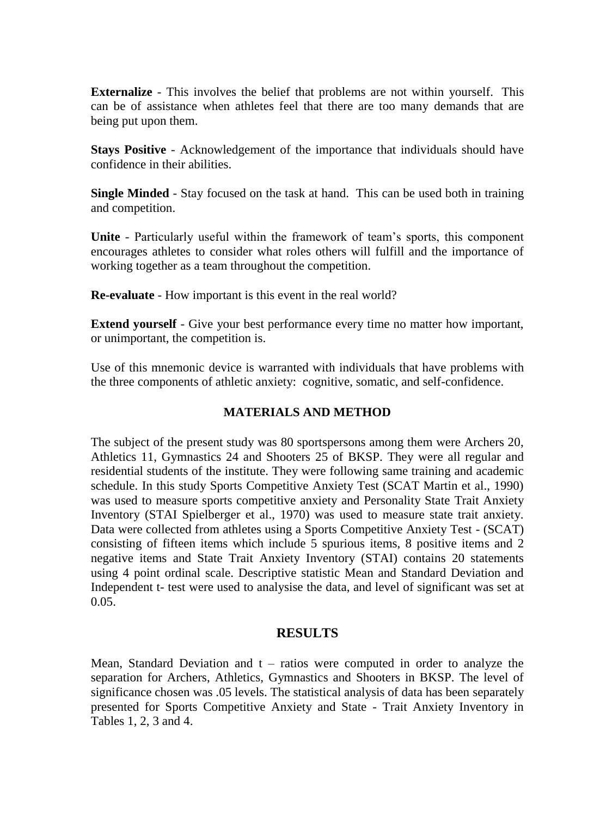**Externalize** - This involves the belief that problems are not within yourself. This can be of assistance when athletes feel that there are too many demands that are being put upon them.

**Stays Positive** - Acknowledgement of the importance that individuals should have confidence in their abilities.

**Single Minded** - Stay focused on the task at hand. This can be used both in training and competition.

**Unite** - Particularly useful within the framework of team's sports, this component encourages athletes to consider what roles others will fulfill and the importance of working together as a team throughout the competition.

**Re-evaluate** - How important is this event in the real world?

**Extend yourself** - Give your best performance every time no matter how important, or unimportant, the competition is.

Use of this mnemonic device is warranted with individuals that have problems with the three components of athletic anxiety: cognitive, somatic, and self-confidence.

### **MATERIALS AND METHOD**

The subject of the present study was 80 sportspersons among them were Archers 20, Athletics 11, Gymnastics 24 and Shooters 25 of BKSP. They were all regular and residential students of the institute. They were following same training and academic schedule. In this study Sports Competitive Anxiety Test (SCAT Martin et al., 1990) was used to measure sports competitive anxiety and Personality State Trait Anxiety Inventory (STAI Spielberger et al., 1970) was used to measure state trait anxiety. Data were collected from athletes using a Sports Competitive Anxiety Test - (SCAT) consisting of fifteen items which include 5 spurious items, 8 positive items and 2 negative items and State Trait Anxiety Inventory (STAI) contains 20 statements using 4 point ordinal scale. Descriptive statistic Mean and Standard Deviation and Independent t- test were used to analysise the data, and level of significant was set at 0.05.

### **RESULTS**

Mean, Standard Deviation and  $t -$  ratios were computed in order to analyze the separation for Archers, Athletics, Gymnastics and Shooters in BKSP. The level of significance chosen was .05 levels. The statistical analysis of data has been separately presented for Sports Competitive Anxiety and State - Trait Anxiety Inventory in Tables 1, 2, 3 and 4.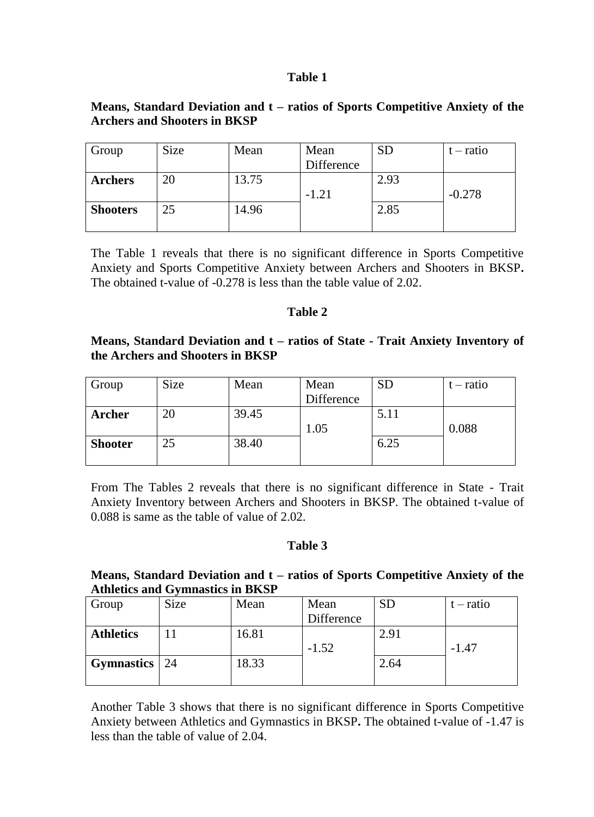### **Table 1**

### **Means, Standard Deviation and t – ratios of Sports Competitive Anxiety of the Archers and Shooters in BKSP**

| Group           | Size | Mean  | Mean       | <b>SD</b> | $t$ – ratio |
|-----------------|------|-------|------------|-----------|-------------|
|                 |      |       | Difference |           |             |
| <b>Archers</b>  | 20   | 13.75 |            | 2.93      |             |
|                 |      |       | $-1.21$    |           | $-0.278$    |
| <b>Shooters</b> | 25   | 14.96 |            | 2.85      |             |
|                 |      |       |            |           |             |

The Table 1 reveals that there is no significant difference in Sports Competitive Anxiety and Sports Competitive Anxiety between Archers and Shooters in BKSP**.** The obtained t-value of  $-0.278$  is less than the table value of  $2.02$ .

### **Table 2**

### **Means, Standard Deviation and t – ratios of State - Trait Anxiety Inventory of the Archers and Shooters in BKSP**

| Group          | <b>Size</b> | Mean  | Mean       | <b>SD</b> | $-$ ratio |
|----------------|-------------|-------|------------|-----------|-----------|
|                |             |       | Difference |           |           |
| <b>Archer</b>  | 20          | 39.45 |            | 5.11      |           |
|                |             |       | 1.05       |           | 0.088     |
| <b>Shooter</b> | 25          | 38.40 |            | 6.25      |           |
|                |             |       |            |           |           |

From The Tables 2 reveals that there is no significant difference in State - Trait Anxiety Inventory between Archers and Shooters in BKSP. The obtained t-value of 0.088 is same as the table of value of 2.02.

### **Table 3**

### **Means, Standard Deviation and t – ratios of Sports Competitive Anxiety of the Athletics and Gymnastics in BKSP**

| Group            | Size | Mean  | Mean       | <b>SD</b> | $t$ – ratio |
|------------------|------|-------|------------|-----------|-------------|
|                  |      |       | Difference |           |             |
| <b>Athletics</b> |      | 16.81 |            | 2.91      |             |
|                  |      |       | $-1.52$    |           | $-1.47$     |
| Gymnastics       | - 24 | 8.33  |            | 2.64      |             |
|                  |      |       |            |           |             |

Another Table 3 shows that there is no significant difference in Sports Competitive Anxiety between Athletics and Gymnastics in BKSP**.** The obtained t-value of -1.47 is less than the table of value of 2.04.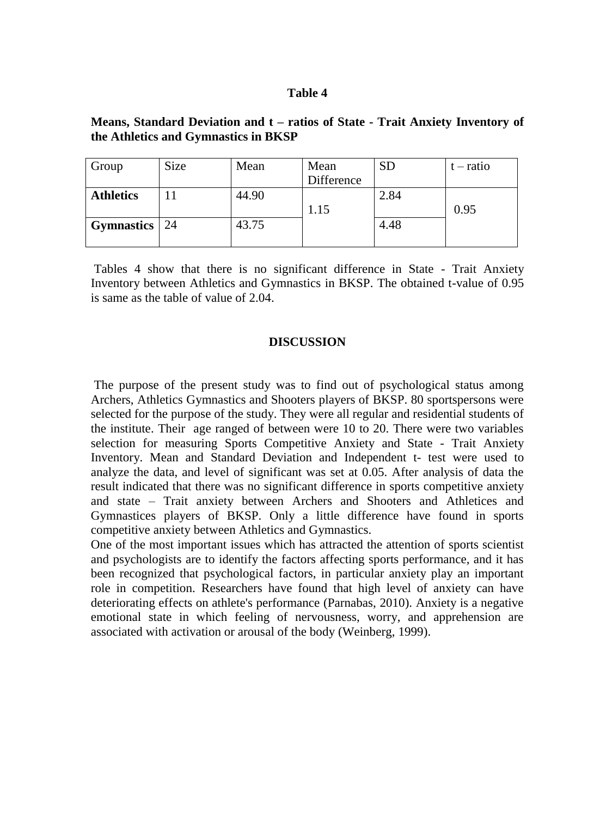### **Table 4**

| Means, Standard Deviation and t – ratios of State - Trait Anxiety Inventory of |  |  |
|--------------------------------------------------------------------------------|--|--|
| the Athletics and Gymnastics in BKSP                                           |  |  |

| Group                | <b>Size</b> | Mean  | Mean       | <b>SD</b> | $t$ – ratio |
|----------------------|-------------|-------|------------|-----------|-------------|
|                      |             |       | Difference |           |             |
| <b>Athletics</b>     |             | 44.90 |            | 2.84      |             |
|                      |             |       | 1.15       |           | 0.95        |
| <b>Gymnastics</b> 24 |             | 43.75 |            | 4.48      |             |
|                      |             |       |            |           |             |

Tables 4 show that there is no significant difference in State - Trait Anxiety Inventory between Athletics and Gymnastics in BKSP. The obtained t-value of 0.95 is same as the table of value of 2.04.

#### **DISCUSSION**

The purpose of the present study was to find out of psychological status among Archers, Athletics Gymnastics and Shooters players of BKSP. 80 sportspersons were selected for the purpose of the study. They were all regular and residential students of the institute. Their age ranged of between were 10 to 20. There were two variables selection for measuring Sports Competitive Anxiety and State - Trait Anxiety Inventory. Mean and Standard Deviation and Independent t- test were used to analyze the data, and level of significant was set at 0.05. After analysis of data the result indicated that there was no significant difference in sports competitive anxiety and state – Trait anxiety between Archers and Shooters and Athletices and Gymnastices players of BKSP. Only a little difference have found in sports competitive anxiety between Athletics and Gymnastics.

One of the most important issues which has attracted the attention of sports scientist and psychologists are to identify the factors affecting sports performance, and it has been recognized that psychological factors, in particular anxiety play an important role in competition. Researchers have found that high level of anxiety can have deteriorating effects on athlete's performance (Parnabas, 2010). Anxiety is a negative emotional state in which feeling of nervousness, worry, and apprehension are associated with activation or arousal of the body (Weinberg, 1999).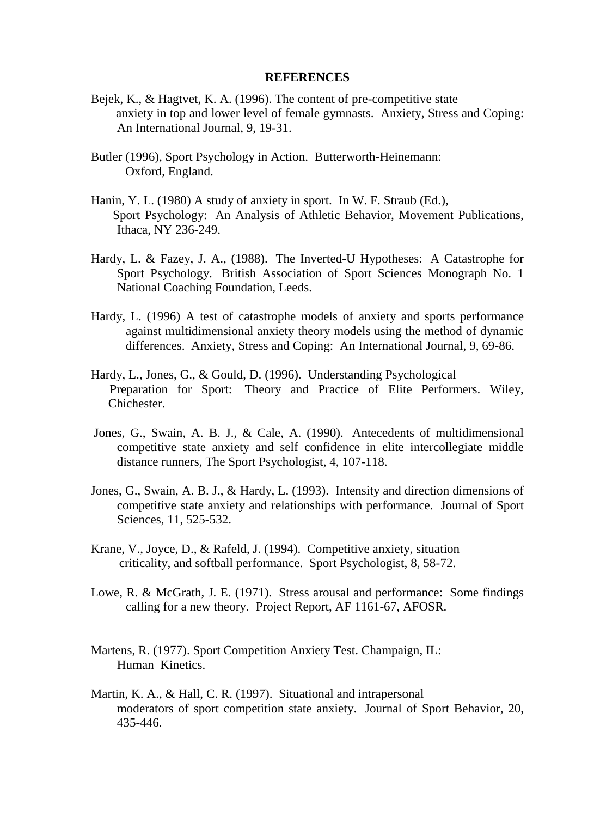#### **REFERENCES**

- Bejek, K., & Hagtvet, K. A. (1996). The content of pre-competitive state anxiety in top and lower level of female gymnasts. Anxiety, Stress and Coping: An International Journal, 9, 19-31.
- Butler (1996), Sport Psychology in Action. Butterworth-Heinemann: Oxford, England.
- Hanin, Y. L. (1980) A study of anxiety in sport. In W. F. Straub (Ed.), Sport Psychology: An Analysis of Athletic Behavior, Movement Publications, Ithaca, NY 236-249.
- Hardy, L. & Fazey, J. A., (1988). The Inverted-U Hypotheses: A Catastrophe for Sport Psychology. British Association of Sport Sciences Monograph No. 1 National Coaching Foundation, Leeds.
- Hardy, L. (1996) A test of catastrophe models of anxiety and sports performance against multidimensional anxiety theory models using the method of dynamic differences. Anxiety, Stress and Coping: An International Journal, 9, 69-86.
- Hardy, L., Jones, G., & Gould, D. (1996). Understanding Psychological Preparation for Sport: Theory and Practice of Elite Performers. Wiley, Chichester.
- Jones, G., Swain, A. B. J., & Cale, A. (1990). Antecedents of multidimensional competitive state anxiety and self confidence in elite intercollegiate middle distance runners, The Sport Psychologist, 4, 107-118.
- Jones, G., Swain, A. B. J., & Hardy, L. (1993). Intensity and direction dimensions of competitive state anxiety and relationships with performance. Journal of Sport Sciences, 11, 525-532.
- Krane, V., Joyce, D., & Rafeld, J. (1994). Competitive anxiety, situation criticality, and softball performance. Sport Psychologist, 8, 58-72.
- Lowe, R. & McGrath, J. E. (1971). Stress arousal and performance: Some findings calling for a new theory. Project Report, AF 1161-67, AFOSR.
- Martens, R. (1977). Sport Competition Anxiety Test. Champaign, IL: Human Kinetics.
- Martin, K. A., & Hall, C. R. (1997). Situational and intrapersonal moderators of sport competition state anxiety. Journal of Sport Behavior, 20, 435-446.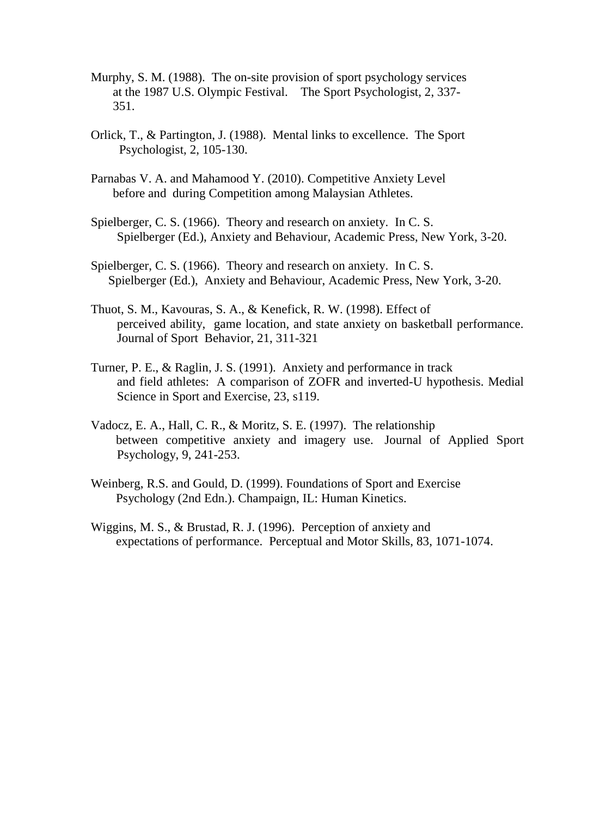- Murphy, S. M. (1988). The on-site provision of sport psychology services at the 1987 U.S. Olympic Festival. The Sport Psychologist, 2, 337- 351.
- Orlick, T., & Partington, J. (1988). Mental links to excellence. The Sport Psychologist, 2, 105-130.
- Parnabas V. A. and Mahamood Y. (2010). Competitive Anxiety Level before and during Competition among Malaysian Athletes.
- Spielberger, C. S. (1966). Theory and research on anxiety. In C. S. Spielberger (Ed.), Anxiety and Behaviour, Academic Press, New York, 3-20.
- Spielberger, C. S. (1966). Theory and research on anxiety. In C. S. Spielberger (Ed.), Anxiety and Behaviour, Academic Press, New York, 3-20.
- Thuot, S. M., Kavouras, S. A., & Kenefick, R. W. (1998). Effect of perceived ability, game location, and state anxiety on basketball performance. Journal of Sport Behavior, 21, 311-321
- Turner, P. E., & Raglin, J. S. (1991). Anxiety and performance in track and field athletes: A comparison of ZOFR and inverted-U hypothesis. Medial Science in Sport and Exercise, 23, s119.
- Vadocz, E. A., Hall, C. R., & Moritz, S. E. (1997). The relationship between competitive anxiety and imagery use. Journal of Applied Sport Psychology, 9, 241-253.
- Weinberg, R.S. and Gould, D. (1999). Foundations of Sport and Exercise Psychology (2nd Edn.). Champaign, IL: Human Kinetics.
- Wiggins, M. S., & Brustad, R. J. (1996). Perception of anxiety and expectations of performance. Perceptual and Motor Skills, 83, 1071-1074.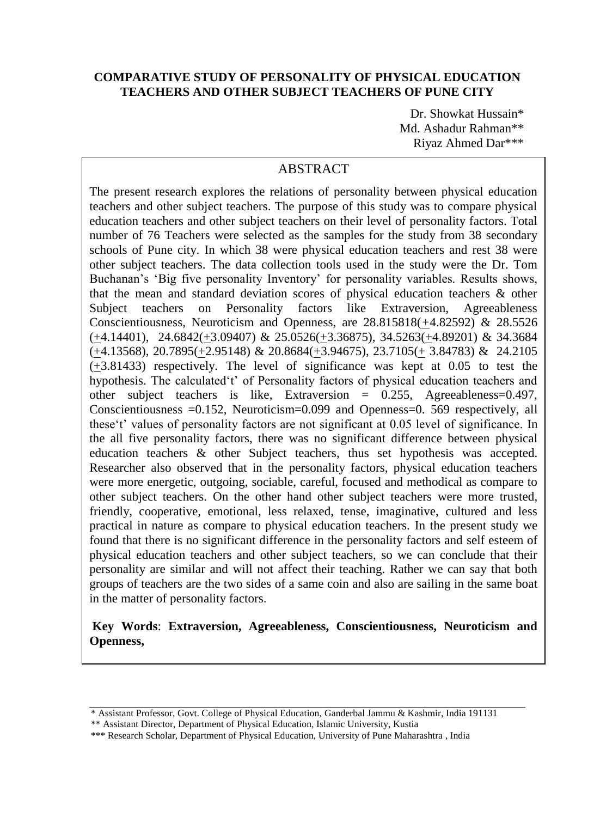### **COMPARATIVE STUDY OF PERSONALITY OF PHYSICAL EDUCATION TEACHERS AND OTHER SUBJECT TEACHERS OF PUNE CITY**

Dr. Showkat Hussain\* Md. Ashadur Rahman\*\* Riyaz Ahmed Dar\*\*\*

### ABSTRACT

The present research explores the relations of personality between physical education teachers and other subject teachers. The purpose of this study was to compare physical education teachers and other subject teachers on their level of personality factors. Total number of 76 Teachers were selected as the samples for the study from 38 secondary schools of Pune city. In which 38 were physical education teachers and rest 38 were other subject teachers. The data collection tools used in the study were the Dr. Tom Buchanan's 'Big five personality Inventory' for personality variables. Results shows, that the mean and standard deviation scores of physical education teachers & other Subject teachers on Personality factors like Extraversion, Agreeableness Conscientiousness, Neuroticism and Openness, are 28.815818(*+*4.82592) & 28.5526 (+4.14401), 24.6842(+3.09407) & 25.0526(+3.36875), 34.5263(+4.89201) & 34.3684 (+4.13568), 20.7895(+2.95148) & 20.8684(+3.94675), 23.7105(+ 3.84783) & 24.2105 (+3.81433) respectively. The level of significance was kept at 0.05 to test the hypothesis. The calculated't' of Personality factors of physical education teachers and other subject teachers is like, Extraversion = 0.255, Agreeableness=0.497, Conscientiousness =0.152, Neuroticism=0.099 and Openness=0. 569 respectively, all these't' values of personality factors are not significant at 0.05 level of significance. In the all five personality factors, there was no significant difference between physical education teachers & other Subject teachers, thus set hypothesis was accepted. Researcher also observed that in the personality factors, physical education teachers were more energetic, outgoing, sociable, careful, focused and methodical as compare to other subject teachers. On the other hand other subject teachers were more trusted, friendly, cooperative, emotional, less relaxed, tense, imaginative, cultured and less practical in nature as compare to physical education teachers. In the present study we found that there is no significant difference in the personality factors and self esteem of physical education teachers and other subject teachers, so we can conclude that their personality are similar and will not affect their teaching. Rather we can say that both groups of teachers are the two sides of a same coin and also are sailing in the same boat in the matter of personality factors.

**Key Words**: **Extraversion, Agreeableness, Conscientiousness, Neuroticism and Openness,**

<sup>\*</sup> Assistant Professor, Govt. College of Physical Education, Ganderbal Jammu & Kashmir, India 191131

<sup>\*\*</sup> Assistant Director, Department of Physical Education, Islamic University, Kustia

<sup>\*\*\*</sup> Research Scholar, Department of Physical Education, University of Pune Maharashtra , India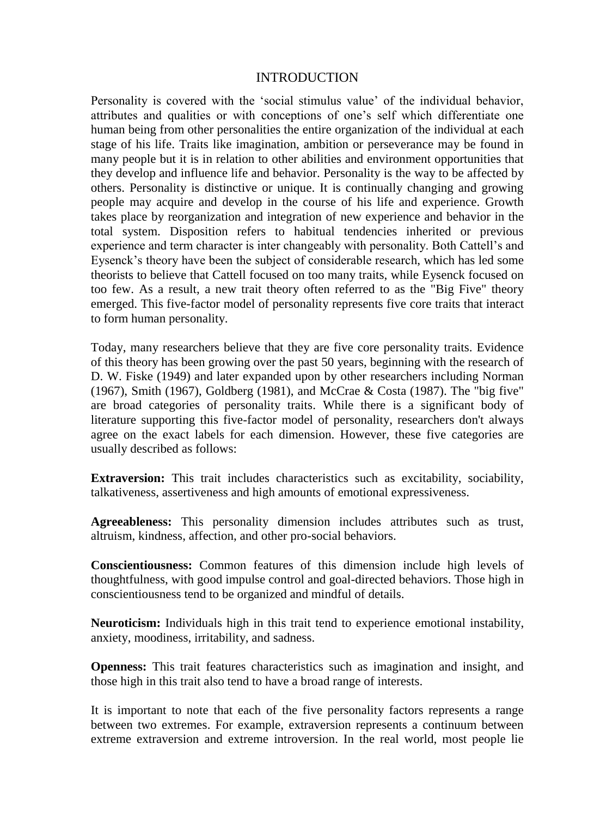### INTRODUCTION

Personality is covered with the 'social stimulus value' of the individual behavior, attributes and qualities or with conceptions of one's self which differentiate one human being from other personalities the entire organization of the individual at each stage of his life. Traits like imagination, ambition or perseverance may be found in many people but it is in relation to other abilities and environment opportunities that they develop and influence life and behavior. Personality is the way to be affected by others. Personality is distinctive or unique. It is continually changing and growing people may acquire and develop in the course of his life and experience. Growth takes place by reorganization and integration of new experience and behavior in the total system. Disposition refers to habitual tendencies inherited or previous experience and term character is inter changeably with personality. Both Cattell's and Eysenck's theory have been the subject of considerable research, which has led some theorists to believe that Cattell focused on too many traits, while Eysenck focused on too few. As a result, a new trait theory often referred to as the "Big Five" theory emerged. This five-factor model of personality represents five core traits that interact to form human personality.

Today, many researchers believe that they are five core personality traits. Evidence of this theory has been growing over the past 50 years, beginning with the research of D. W. Fiske (1949) and later expanded upon by other researchers including Norman (1967), Smith (1967), Goldberg (1981), and McCrae & Costa (1987). The "big five" are broad categories of personality traits. While there is a significant body of literature supporting this five-factor model of personality, researchers don't always agree on the exact labels for each dimension. However, these five categories are usually described as follows:

**Extraversion:** This trait includes characteristics such as excitability, sociability, talkativeness, assertiveness and high amounts of emotional expressiveness.

**Agreeableness:** This personality dimension includes attributes such as trust, altruism, kindness, affection, and other pro-social behaviors.

**Conscientiousness:** Common features of this dimension include high levels of thoughtfulness, with good impulse control and goal-directed behaviors. Those high in conscientiousness tend to be organized and mindful of details.

**Neuroticism:** Individuals high in this trait tend to experience emotional instability, anxiety, moodiness, irritability, and sadness.

**Openness:** This trait features characteristics such as imagination and insight, and those high in this trait also tend to have a broad range of interests.

It is important to note that each of the five personality factors represents a range between two extremes. For example, extraversion represents a continuum between extreme extraversion and extreme introversion. In the real world, most people lie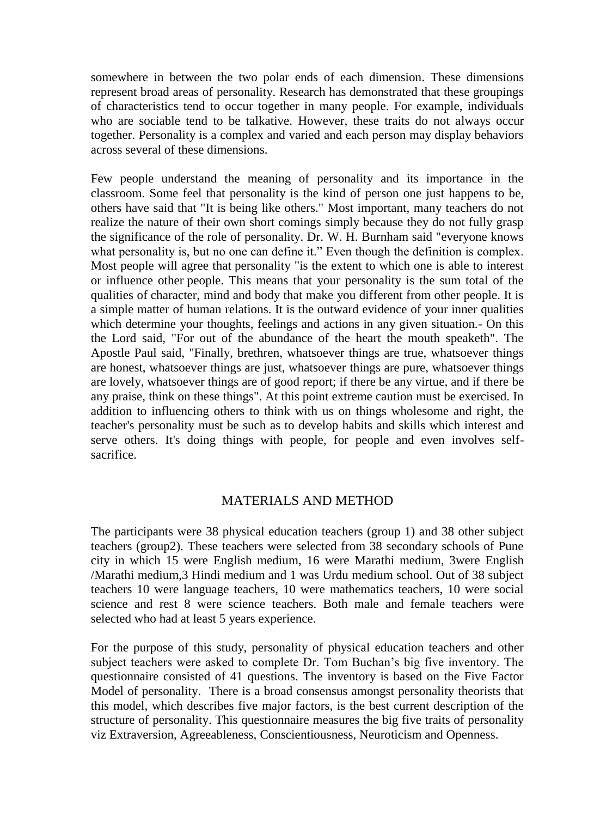somewhere in between the two polar ends of each dimension. These dimensions represent broad areas of personality. Research has demonstrated that these groupings of characteristics tend to occur together in many people. For example, individuals who are sociable tend to be talkative. However, these traits do not always occur together. Personality is a complex and varied and each person may display behaviors across several of these dimensions.

Few people understand the meaning of personality and its importance in the classroom. Some feel that personality is the kind of person one just happens to be, others have said that "It is being like others." Most important, many teachers do not realize the nature of their own short comings simply because they do not fully grasp the significance of the role of personality. Dr. W. H. Burnham said "everyone knows what personality is, but no one can define it." Even though the definition is complex. Most people will agree that personality "is the extent to which one is able to interest or influence other people. This means that your personality is the sum total of the qualities of character, mind and body that make you different from other people. It is a simple matter of human relations. It is the outward evidence of your inner qualities which determine your thoughts, feelings and actions in any given situation.- On this the Lord said, "For out of the abundance of the heart the mouth speaketh". The Apostle Paul said, "Finally, brethren, whatsoever things are true, whatsoever things are honest, whatsoever things are just, whatsoever things are pure, whatsoever things are lovely, whatsoever things are of good report; if there be any virtue, and if there be any praise, think on these things". At this point extreme caution must be exercised. In addition to influencing others to think with us on things wholesome and right, the teacher's personality must be such as to develop habits and skills which interest and serve others. It's doing things with people, for people and even involves selfsacrifice.

### MATERIALS AND METHOD

The participants were 38 physical education teachers (group 1) and 38 other subject teachers (group2). These teachers were selected from 38 secondary schools of Pune city in which 15 were English medium, 16 were Marathi medium, 3were English /Marathi medium,3 Hindi medium and 1 was Urdu medium school. Out of 38 subject teachers 10 were language teachers, 10 were mathematics teachers, 10 were social science and rest 8 were science teachers. Both male and female teachers were selected who had at least 5 years experience.

For the purpose of this study, personality of physical education teachers and other subject teachers were asked to complete Dr. Tom Buchan's big five inventory. The questionnaire consisted of 41 questions. The inventory is based on the Five Factor Model of personality. There is a broad consensus amongst personality theorists that this model, which describes five major factors, is the best current description of the structure of personality. This questionnaire measures the big five traits of personality viz Extraversion, Agreeableness, Conscientiousness, Neuroticism and Openness.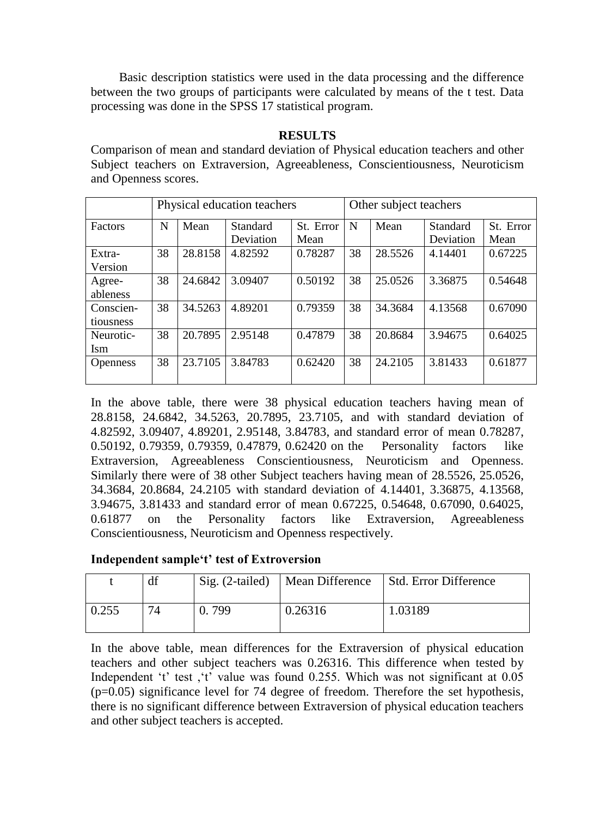Basic description statistics were used in the data processing and the difference between the two groups of participants were calculated by means of the t test. Data processing was done in the SPSS 17 statistical program.

### **RESULTS**

Comparison of mean and standard deviation of Physical education teachers and other Subject teachers on Extraversion, Agreeableness, Conscientiousness, Neuroticism and Openness scores.

|                 | Physical education teachers |         |           | Other subject teachers |    |         |           |           |
|-----------------|-----------------------------|---------|-----------|------------------------|----|---------|-----------|-----------|
| Factors         | N                           | Mean    | Standard  | St. Error              | N  | Mean    | Standard  | St. Error |
|                 |                             |         | Deviation | Mean                   |    |         | Deviation | Mean      |
| Extra-          | 38                          | 28.8158 | 4.82592   | 0.78287                | 38 | 28.5526 | 4.14401   | 0.67225   |
| Version         |                             |         |           |                        |    |         |           |           |
| Agree-          | 38                          | 24.6842 | 3.09407   | 0.50192                | 38 | 25.0526 | 3.36875   | 0.54648   |
| ableness        |                             |         |           |                        |    |         |           |           |
| Conscien-       | 38                          | 34.5263 | 4.89201   | 0.79359                | 38 | 34.3684 | 4.13568   | 0.67090   |
| tiousness       |                             |         |           |                        |    |         |           |           |
| Neurotic-       | 38                          | 20.7895 | 2.95148   | 0.47879                | 38 | 20.8684 | 3.94675   | 0.64025   |
| Ism             |                             |         |           |                        |    |         |           |           |
| <b>Openness</b> | 38                          | 23.7105 | 3.84783   | 0.62420                | 38 | 24.2105 | 3.81433   | 0.61877   |
|                 |                             |         |           |                        |    |         |           |           |

In the above table, there were 38 physical education teachers having mean of 28.8158, 24.6842, 34.5263, 20.7895, 23.7105, and with standard deviation of 4.82592, 3.09407, 4.89201, 2.95148, 3.84783, and standard error of mean 0.78287, 0.50192, 0.79359, 0.79359, 0.47879, 0.62420 on the Personality factors like Extraversion, Agreeableness Conscientiousness, Neuroticism and Openness. Similarly there were of 38 other Subject teachers having mean of 28.5526, 25.0526, 34.3684, 20.8684, 24.2105 with standard deviation of 4.14401, 3.36875, 4.13568, 3.94675, 3.81433 and standard error of mean 0.67225, 0.54648, 0.67090, 0.64025, 0.61877 on the Personality factors like Extraversion, Agreeableness Conscientiousness, Neuroticism and Openness respectively.

| Independent sample't' test of Extroversion |  |
|--------------------------------------------|--|
|--------------------------------------------|--|

|       | df | $Sig. (2-tailed)$ | Mean Difference | Std. Error Difference |
|-------|----|-------------------|-----------------|-----------------------|
| 0.255 | 74 | 0.799             | 0.26316         | 1.03189               |

In the above table, mean differences for the Extraversion of physical education teachers and other subject teachers was 0.26316. This difference when tested by Independent 't' test ,'t' value was found 0.255. Which was not significant at 0.05 (p=0.05) significance level for 74 degree of freedom. Therefore the set hypothesis, there is no significant difference between Extraversion of physical education teachers and other subject teachers is accepted.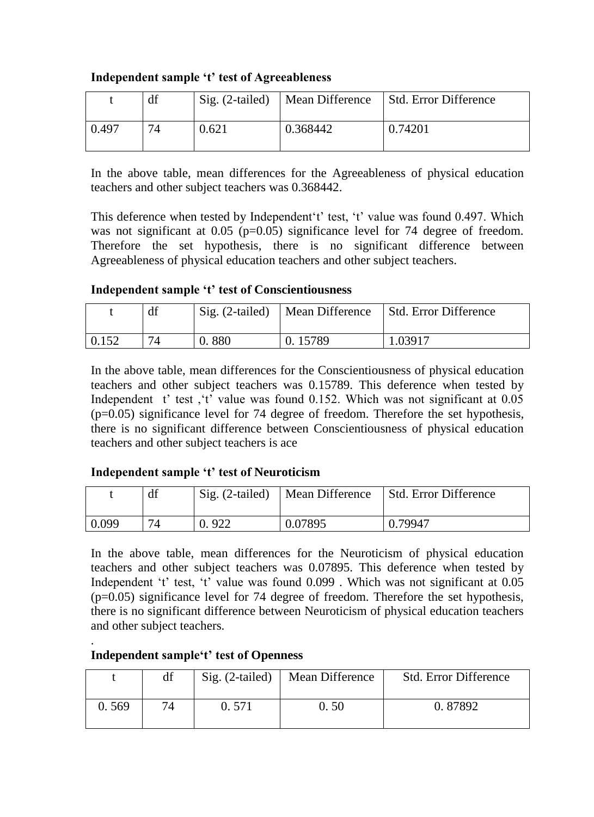### **Independent sample 't' test of Agreeableness**

|       | df |       | $Sig. (2-tailed)$   Mean Difference | Std. Error Difference |
|-------|----|-------|-------------------------------------|-----------------------|
| 0.497 | 74 | 0.621 | 0.368442                            | 0.74201               |

In the above table, mean differences for the Agreeableness of physical education teachers and other subject teachers was 0.368442.

This deference when tested by Independent't' test, 't' value was found 0.497. Which was not significant at  $0.05$  ( $p=0.05$ ) significance level for 74 degree of freedom. Therefore the set hypothesis, there is no significant difference between Agreeableness of physical education teachers and other subject teachers.

### **Independent sample 't' test of Conscientiousness**

|       | df | $Sig. (2-tailed)$ | Mean Difference | Std. Error Difference |
|-------|----|-------------------|-----------------|-----------------------|
| 0.152 | 74 | 0.880             | 0.15789         | 1.03917               |

In the above table, mean differences for the Conscientiousness of physical education teachers and other subject teachers was 0.15789. This deference when tested by Independent t' test , 't' value was found 0.152. Which was not significant at 0.05 (p=0.05) significance level for 74 degree of freedom. Therefore the set hypothesis, there is no significant difference between Conscientiousness of physical education teachers and other subject teachers is ace

### **Independent sample 't' test of Neuroticism**

|       | df | $Sig. (2-tailed)$ | <b>Mean Difference</b> | Std. Error Difference |
|-------|----|-------------------|------------------------|-----------------------|
| 0.099 |    | 0.922             | 0.07895                | 0.79947               |

In the above table, mean differences for the Neuroticism of physical education teachers and other subject teachers was 0.07895. This deference when tested by Independent 't' test, 't' value was found 0.099 . Which was not significant at 0.05 (p=0.05) significance level for 74 degree of freedom. Therefore the set hypothesis, there is no significant difference between Neuroticism of physical education teachers and other subject teachers.

# **Independent sample't' test of Openness**

.

|       | df |       | $Sig. (2-tailed)$   Mean Difference | <b>Std. Error Difference</b> |
|-------|----|-------|-------------------------------------|------------------------------|
| 0.569 | 74 | 0.571 | 0. 50                               | 0.87892                      |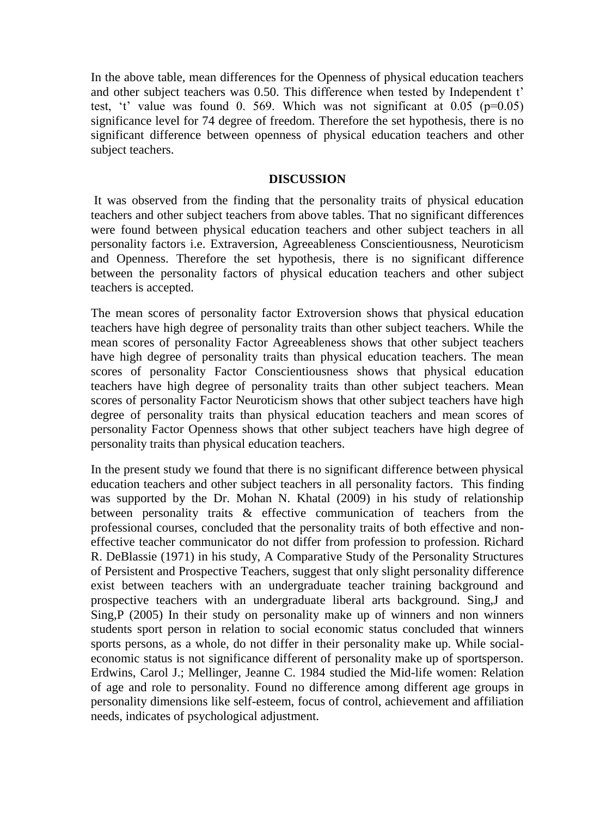In the above table, mean differences for the Openness of physical education teachers and other subject teachers was 0.50. This difference when tested by Independent t' test, 't' value was found 0. 569. Which was not significant at  $0.05$  (p=0.05) significance level for 74 degree of freedom. Therefore the set hypothesis, there is no significant difference between openness of physical education teachers and other subject teachers.

### **DISCUSSION**

It was observed from the finding that the personality traits of physical education teachers and other subject teachers from above tables. That no significant differences were found between physical education teachers and other subject teachers in all personality factors i.e. Extraversion, Agreeableness Conscientiousness, Neuroticism and Openness. Therefore the set hypothesis, there is no significant difference between the personality factors of physical education teachers and other subject teachers is accepted.

The mean scores of personality factor Extroversion shows that physical education teachers have high degree of personality traits than other subject teachers. While the mean scores of personality Factor Agreeableness shows that other subject teachers have high degree of personality traits than physical education teachers. The mean scores of personality Factor Conscientiousness shows that physical education teachers have high degree of personality traits than other subject teachers. Mean scores of personality Factor Neuroticism shows that other subject teachers have high degree of personality traits than physical education teachers and mean scores of personality Factor Openness shows that other subject teachers have high degree of personality traits than physical education teachers.

In the present study we found that there is no significant difference between physical education teachers and other subject teachers in all personality factors. This finding was supported by the Dr. Mohan N. Khatal (2009) in his study of relationship between personality traits & effective communication of teachers from the professional courses, concluded that the personality traits of both effective and noneffective teacher communicator do not differ from profession to profession. Richard R. DeBlassie (1971) in his study, A Comparative Study of the Personality Structures of Persistent and Prospective Teachers, suggest that only slight personality difference exist between teachers with an undergraduate teacher training background and prospective teachers with an undergraduate liberal arts background. Sing,J and Sing,P (2005) In their study on personality make up of winners and non winners students sport person in relation to social economic status concluded that winners sports persons, as a whole, do not differ in their personality make up. While socialeconomic status is not significance different of personality make up of sportsperson. Erdwins, Carol J.; Mellinger, Jeanne C. 1984 studied the Mid-life women: Relation of age and role to personality. Found no difference among different age groups in personality dimensions like self-esteem, focus of control, achievement and affiliation needs, indicates of psychological adjustment.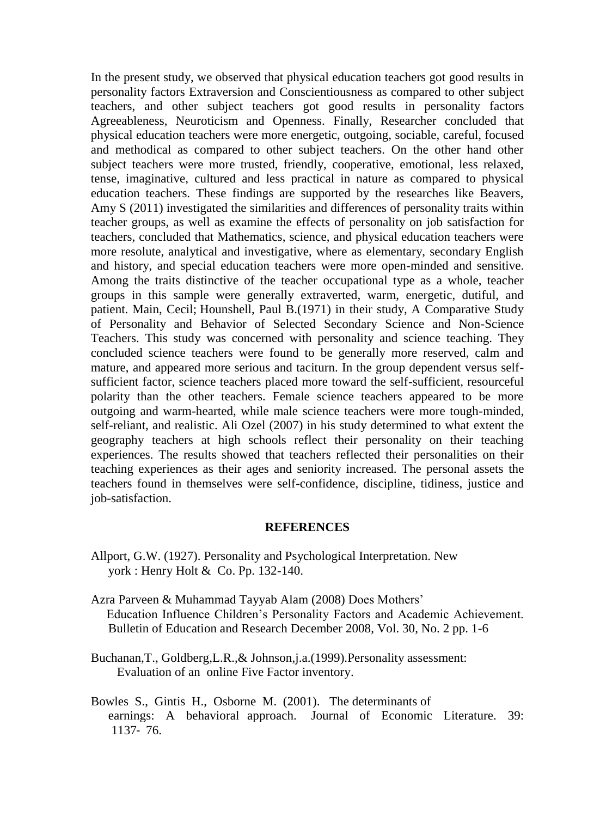In the present study, we observed that physical education teachers got good results in personality factors Extraversion and Conscientiousness as compared to other subject teachers, and other subject teachers got good results in personality factors Agreeableness, Neuroticism and Openness. Finally, Researcher concluded that physical education teachers were more energetic, outgoing, sociable, careful, focused and methodical as compared to other subject teachers. On the other hand other subject teachers were more trusted, friendly, cooperative, emotional, less relaxed, tense, imaginative, cultured and less practical in nature as compared to physical education teachers. These findings are supported by the researches like Beavers, Amy S (2011) investigated the similarities and differences of personality traits within teacher groups, as well as examine the effects of personality on job satisfaction for teachers, concluded that Mathematics, science, and physical education teachers were more resolute, analytical and investigative, where as elementary, secondary English and history, and special education teachers were more open-minded and sensitive. Among the traits distinctive of the teacher occupational type as a whole, teacher groups in this sample were generally extraverted, warm, energetic, dutiful, and patient. Main, Cecil; Hounshell, Paul B.(1971) in their study, A Comparative Study of Personality and Behavior of Selected Secondary Science and Non-Science Teachers. This study was concerned with personality and science teaching. They concluded science teachers were found to be generally more reserved, calm and mature, and appeared more serious and taciturn. In the group dependent versus selfsufficient factor, science teachers placed more toward the self-sufficient, resourceful polarity than the other teachers. Female science teachers appeared to be more outgoing and warm-hearted, while male science teachers were more tough-minded, self-reliant, and realistic. Ali Ozel (2007) in his study determined to what extent the geography teachers at high schools reflect their personality on their teaching experiences. The results showed that teachers reflected their personalities on their teaching experiences as their ages and seniority increased. The personal assets the teachers found in themselves were self-confidence, discipline, tidiness, justice and job-satisfaction.

### **REFERENCES**

- Allport, G.W. (1927). Personality and Psychological Interpretation. New york : Henry Holt & Co. Pp. 132-140.
- Azra Parveen & Muhammad Tayyab Alam (2008) Does Mothers' Education Influence Children's Personality Factors and Academic Achievement. Bulletin of Education and Research December 2008, Vol. 30, No. 2 pp. 1-6
- Buchanan,T., Goldberg,L.R.,& Johnson,j.a.(1999).Personality assessment: Evaluation of an online Five Factor inventory.
- Bowles S., Gintis H., Osborne M. (2001). The determinants of earnings: A behavioral approach. Journal of Economic Literature. 39: 1137‐ 76.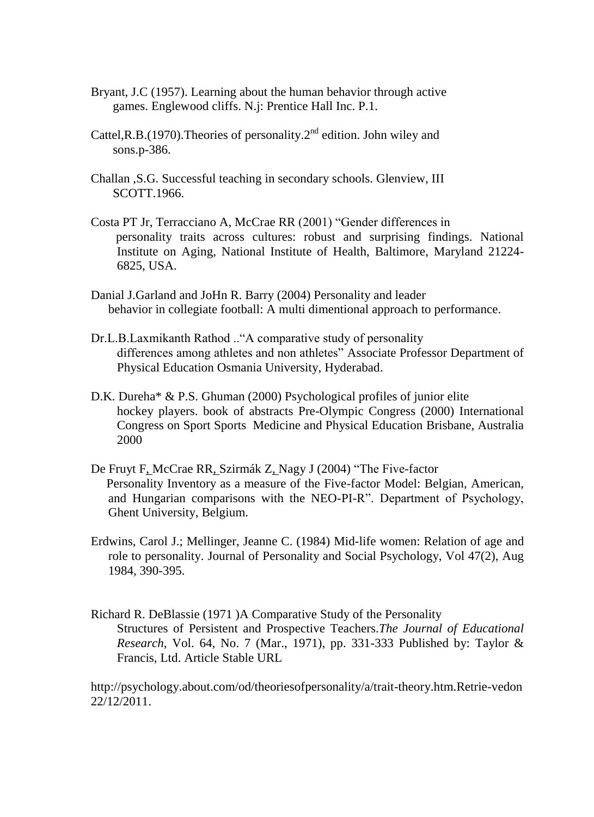- Bryant, J.C (1957). Learning about the human behavior through active games. Englewood cliffs. N.j: Prentice Hall Inc. P.1.
- Cattel, R.B. (1970). Theories of personality.  $2<sup>nd</sup>$  edition. John wiley and sons.p-386.
- Challan ,S.G. Successful teaching in secondary schools. Glenview, III SCOTT.1966.
- Costa PT Jr, Terracciano A, McCrae RR (2001) "Gender differences in personality traits across cultures: robust and surprising findings. National Institute on Aging, National Institute of Health, Baltimore, Maryland 21224- 6825, USA.
- Danial J.Garland and JoHn R. Barry (2004) Personality and leader behavior in collegiate football: A multi dimentional approach to performance.
- Dr.L.B.Laxmikanth Rathod .."A comparative study of personality differences among athletes and non athletes" Associate Professor Department of Physical Education Osmania University, Hyderabad.
- D.K. Dureha\* & P.S. Ghuman (2000) Psychological profiles of junior elite hockey players. book of abstracts Pre-Olympic Congress (2000) International Congress on Sport Sports Medicine and Physical Education Brisbane, Australia 2000
- De Fruyt F, McCrae RR, Szirmák Z, Nagy J (2004) "The Five-factor Personality Inventory as a measure of the Five-factor Model: Belgian, American, and Hungarian comparisons with the NEO-PI-R". Department of Psychology, Ghent University, Belgium.
- Erdwins, Carol J.; Mellinger, Jeanne C. (1984) Mid-life women: Relation of age and role to personality. Journal of Personality and Social Psychology, Vol 47(2), Aug 1984, 390-395.
- Richard R. DeBlassie (1971 )A Comparative Study of the Personality Structures of Persistent and Prospective Teachers.*The Journal of Educational Research*, Vol. 64, No. 7 (Mar., 1971), pp. 331-333 Published by: Taylor & Francis, Ltd. Article Stable URL

http://psychology.about.com/od/theoriesofpersonality/a/trait-theory.htm.Retrie-vedon 22/12/2011.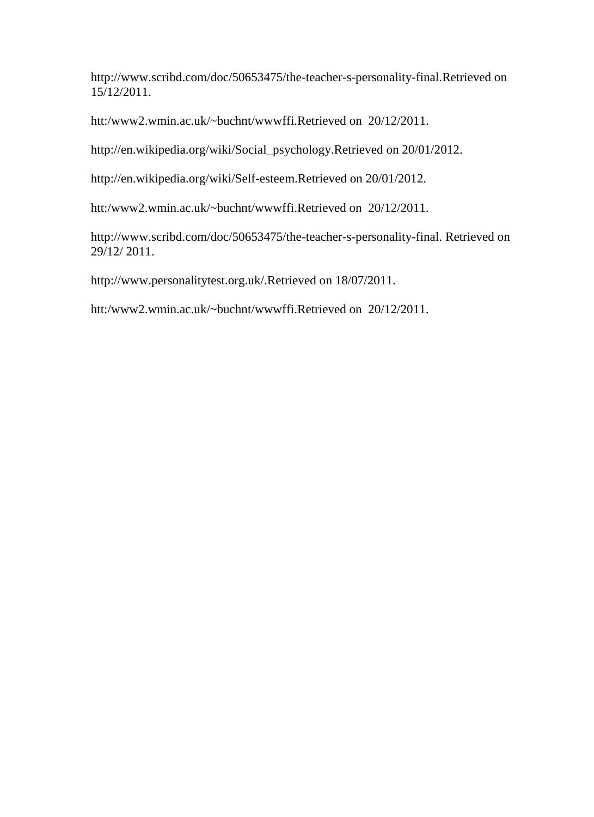http://www.scribd.com/doc/50653475/the-teacher-s-personality-final.Retrieved on 15/12/2011.

htt:/www2.wmin.ac.uk/~buchnt/wwwffi.Retrieved on 20/12/2011.

http://en.wikipedia.org/wiki/Social\_psychology.Retrieved on 20/01/2012.

http://en.wikipedia.org/wiki/Self-esteem.Retrieved on 20/01/2012.

htt:/www2.wmin.ac.uk/~buchnt/wwwffi.Retrieved on 20/12/2011.

http://www.scribd.com/doc/50653475/the-teacher-s-personality-final. Retrieved on  $29/12/2011$ .

http://www.personalitytest.org.uk/.Retrieved on 18/07/2011.

htt:/www2.wmin.ac.uk/~buchnt/wwwffi.Retrieved on 20/12/2011.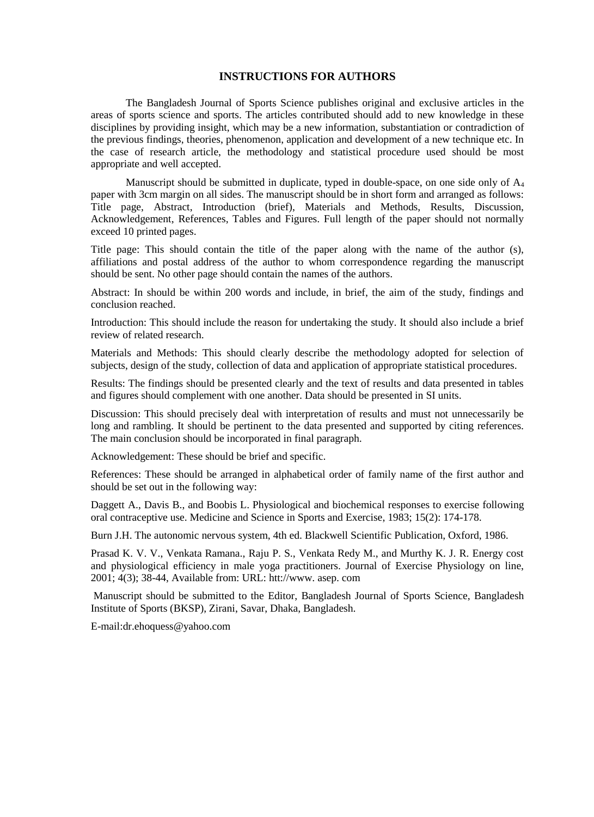#### **INSTRUCTIONS FOR AUTHORS**

The Bangladesh Journal of Sports Science publishes original and exclusive articles in the areas of sports science and sports. The articles contributed should add to new knowledge in these disciplines by providing insight, which may be a new information, substantiation or contradiction of the previous findings, theories, phenomenon, application and development of a new technique etc. In the case of research article, the methodology and statistical procedure used should be most appropriate and well accepted.

Manuscript should be submitted in duplicate, typed in double-space, on one side only of  $A_4$ paper with 3cm margin on all sides. The manuscript should be in short form and arranged as follows: Title page, Abstract, Introduction (brief), Materials and Methods, Results, Discussion, Acknowledgement, References, Tables and Figures. Full length of the paper should not normally exceed 10 printed pages.

Title page: This should contain the title of the paper along with the name of the author (s), affiliations and postal address of the author to whom correspondence regarding the manuscript should be sent. No other page should contain the names of the authors.

Abstract: In should be within 200 words and include, in brief, the aim of the study, findings and conclusion reached.

Introduction: This should include the reason for undertaking the study. It should also include a brief review of related research.

Materials and Methods: This should clearly describe the methodology adopted for selection of subjects, design of the study, collection of data and application of appropriate statistical procedures.

Results: The findings should be presented clearly and the text of results and data presented in tables and figures should complement with one another. Data should be presented in SI units.

Discussion: This should precisely deal with interpretation of results and must not unnecessarily be long and rambling. It should be pertinent to the data presented and supported by citing references. The main conclusion should be incorporated in final paragraph.

Acknowledgement: These should be brief and specific.

References: These should be arranged in alphabetical order of family name of the first author and should be set out in the following way:

Daggett A., Davis B., and Boobis L. Physiological and biochemical responses to exercise following oral contraceptive use. Medicine and Science in Sports and Exercise, 1983; 15(2): 174-178.

Burn J.H. The autonomic nervous system, 4th ed. Blackwell Scientific Publication, Oxford, 1986.

Prasad K. V. V., Venkata Ramana., Raju P. S., Venkata Redy M., and Murthy K. J. R. Energy cost and physiological efficiency in male yoga practitioners. Journal of Exercise Physiology on line, 2001; 4(3); 38-44, Available from: URL: htt://www. asep. com

Manuscript should be submitted to the Editor, Bangladesh Journal of Sports Science, Bangladesh Institute of Sports (BKSP), Zirani, Savar, Dhaka, Bangladesh.

E-mail:dr.ehoquess@yahoo.com